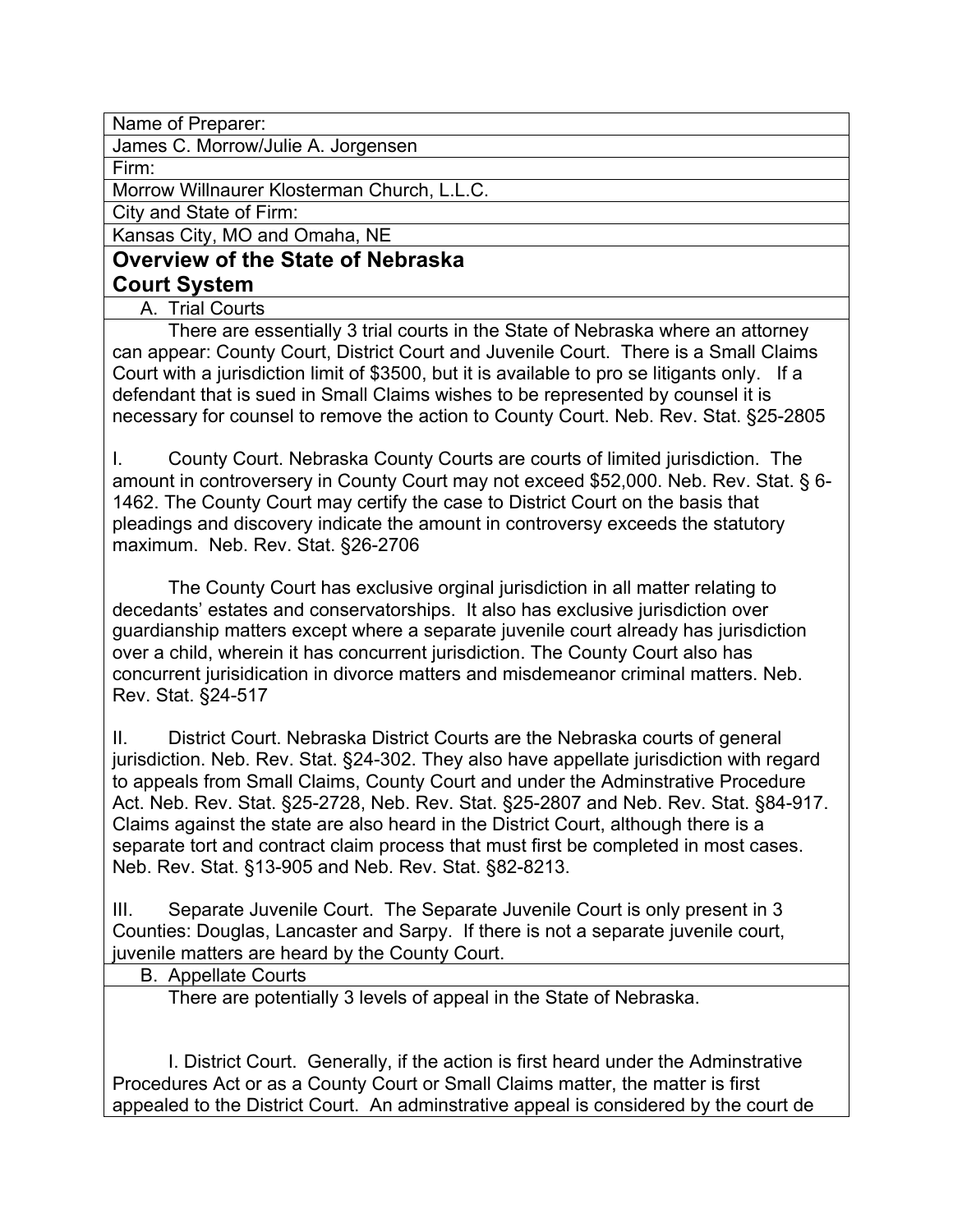Name of Preparer:

James C. Morrow/Julie A. Jorgensen

Firm:

Morrow Willnaurer Klosterman Church, L.L.C.

City and State of Firm:

Kansas City, MO and Omaha, NE

# **Overview of the State of Nebraska Court System**

A. Trial Courts

There are essentially 3 trial courts in the State of Nebraska where an attorney can appear: County Court, District Court and Juvenile Court. There is a Small Claims Court with a jurisdiction limit of \$3500, but it is available to pro se litigants only. If a defendant that is sued in Small Claims wishes to be represented by counsel it is necessary for counsel to remove the action to County Court. Neb. Rev. Stat. §25-2805

I. County Court. Nebraska County Courts are courts of limited jurisdiction. The amount in controversery in County Court may not exceed \$52,000. Neb. Rev. Stat. § 6- 1462. The County Court may certify the case to District Court on the basis that pleadings and discovery indicate the amount in controversy exceeds the statutory maximum. Neb. Rev. Stat. §26-2706

The County Court has exclusive orginal jurisdiction in all matter relating to decedants' estates and conservatorships. It also has exclusive jurisdiction over guardianship matters except where a separate juvenile court already has jurisdiction over a child, wherein it has concurrent jurisdiction. The County Court also has concurrent jurisidication in divorce matters and misdemeanor criminal matters. Neb. Rev. Stat. §24-517

II. District Court. Nebraska District Courts are the Nebraska courts of general jurisdiction. Neb. Rev. Stat. §24-302. They also have appellate jurisdiction with regard to appeals from Small Claims, County Court and under the Adminstrative Procedure Act. Neb. Rev. Stat. §25-2728, Neb. Rev. Stat. §25-2807 and Neb. Rev. Stat. §84-917. Claims against the state are also heard in the District Court, although there is a separate tort and contract claim process that must first be completed in most cases. Neb. Rev. Stat. §13-905 and Neb. Rev. Stat. §82-8213.

III. Separate Juvenile Court. The Separate Juvenile Court is only present in 3 Counties: Douglas, Lancaster and Sarpy. If there is not a separate juvenile court, juvenile matters are heard by the County Court.

## B. Appellate Courts

There are potentially 3 levels of appeal in the State of Nebraska.

I. District Court. Generally, if the action is first heard under the Adminstrative Procedures Act or as a County Court or Small Claims matter, the matter is first appealed to the District Court. An adminstrative appeal is considered by the court de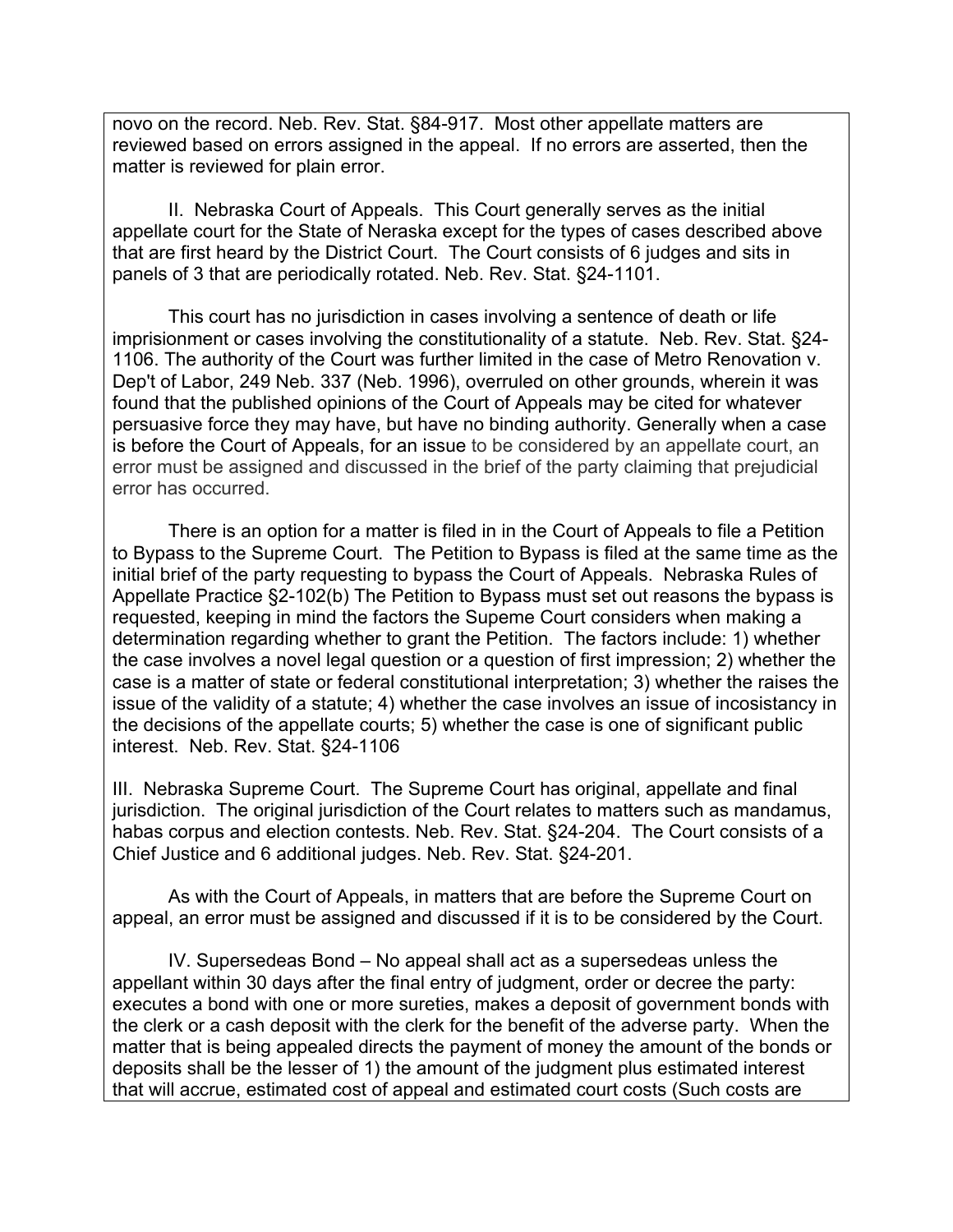novo on the record. Neb. Rev. Stat. §84-917. Most other appellate matters are reviewed based on errors assigned in the appeal. If no errors are asserted, then the matter is reviewed for plain error.

II. Nebraska Court of Appeals. This Court generally serves as the initial appellate court for the State of Neraska except for the types of cases described above that are first heard by the District Court. The Court consists of 6 judges and sits in panels of 3 that are periodically rotated. Neb. Rev. Stat. §24-1101.

This court has no jurisdiction in cases involving a sentence of death or life imprisionment or cases involving the constitutionality of a statute. Neb. Rev. Stat. §24- 1106. The authority of the Court was further limited in the case of Metro Renovation v. Dep't of Labor, 249 Neb. 337 (Neb. 1996), overruled on other grounds, wherein it was found that the published opinions of the Court of Appeals may be cited for whatever persuasive force they may have, but have no binding authority. Generally when a case is before the Court of Appeals, for an issue to be considered by an appellate court, an error must be assigned and discussed in the brief of the party claiming that prejudicial error has occurred.

There is an option for a matter is filed in in the Court of Appeals to file a Petition to Bypass to the Supreme Court. The Petition to Bypass is filed at the same time as the initial brief of the party requesting to bypass the Court of Appeals. Nebraska Rules of Appellate Practice §2-102(b) The Petition to Bypass must set out reasons the bypass is requested, keeping in mind the factors the Supeme Court considers when making a determination regarding whether to grant the Petition. The factors include: 1) whether the case involves a novel legal question or a question of first impression; 2) whether the case is a matter of state or federal constitutional interpretation; 3) whether the raises the issue of the validity of a statute; 4) whether the case involves an issue of incosistancy in the decisions of the appellate courts; 5) whether the case is one of significant public interest. Neb. Rev. Stat. §24-1106

III. Nebraska Supreme Court. The Supreme Court has original, appellate and final jurisdiction. The original jurisdiction of the Court relates to matters such as mandamus, habas corpus and election contests. Neb. Rev. Stat. §24-204. The Court consists of a Chief Justice and 6 additional judges. Neb. Rev. Stat. §24-201.

As with the Court of Appeals, in matters that are before the Supreme Court on appeal, an error must be assigned and discussed if it is to be considered by the Court.

IV. Supersedeas Bond – No appeal shall act as a supersedeas unless the appellant within 30 days after the final entry of judgment, order or decree the party: executes a bond with one or more sureties, makes a deposit of government bonds with the clerk or a cash deposit with the clerk for the benefit of the adverse party. When the matter that is being appealed directs the payment of money the amount of the bonds or deposits shall be the lesser of 1) the amount of the judgment plus estimated interest that will accrue, estimated cost of appeal and estimated court costs (Such costs are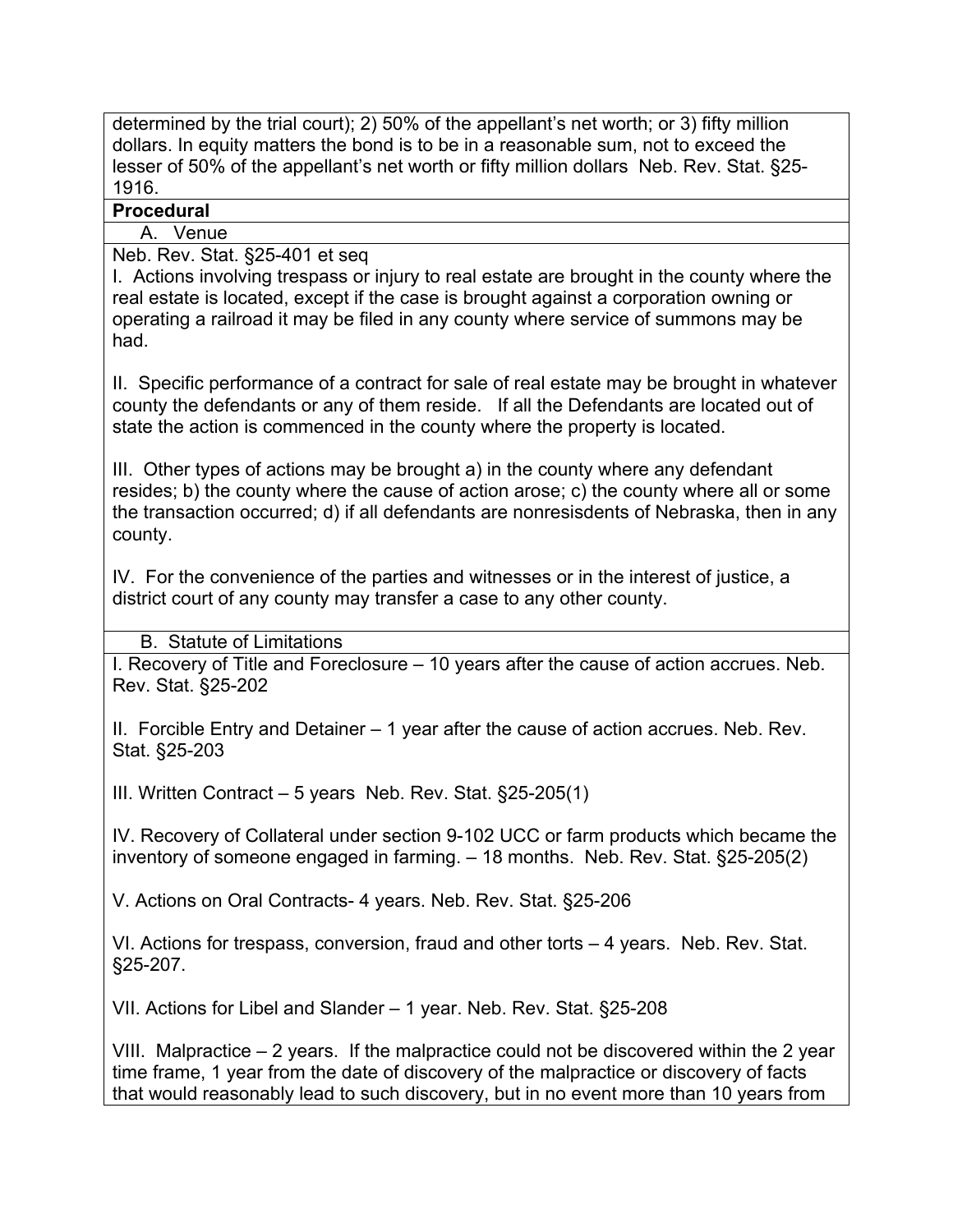determined by the trial court); 2) 50% of the appellant's net worth; or 3) fifty million dollars. In equity matters the bond is to be in a reasonable sum, not to exceed the lesser of 50% of the appellant's net worth or fifty million dollars Neb. Rev. Stat. §25- 1916.

# **Procedural**

A. Venue

Neb. Rev. Stat. §25-401 et seq

I. Actions involving trespass or injury to real estate are brought in the county where the real estate is located, except if the case is brought against a corporation owning or operating a railroad it may be filed in any county where service of summons may be had.

II. Specific performance of a contract for sale of real estate may be brought in whatever county the defendants or any of them reside. If all the Defendants are located out of state the action is commenced in the county where the property is located.

III. Other types of actions may be brought a) in the county where any defendant resides; b) the county where the cause of action arose; c) the county where all or some the transaction occurred; d) if all defendants are nonresisdents of Nebraska, then in any county.

IV. For the convenience of the parties and witnesses or in the interest of justice, a district court of any county may transfer a case to any other county.

B. Statute of Limitations

I. Recovery of Title and Foreclosure – 10 years after the cause of action accrues. Neb. Rev. Stat. §25-202

II. Forcible Entry and Detainer – 1 year after the cause of action accrues. Neb. Rev. Stat. §25-203

III. Written Contract – 5 years Neb. Rev. Stat. §25-205(1)

IV. Recovery of Collateral under section 9-102 UCC or farm products which became the inventory of someone engaged in farming. – 18 months. Neb. Rev. Stat. §25-205(2)

V. Actions on Oral Contracts- 4 years. Neb. Rev. Stat. §25-206

VI. Actions for trespass, conversion, fraud and other torts – 4 years. Neb. Rev. Stat. §25-207.

VII. Actions for Libel and Slander – 1 year. Neb. Rev. Stat. §25-208

VIII. Malpractice – 2 years. If the malpractice could not be discovered within the 2 year time frame, 1 year from the date of discovery of the malpractice or discovery of facts that would reasonably lead to such discovery, but in no event more than 10 years from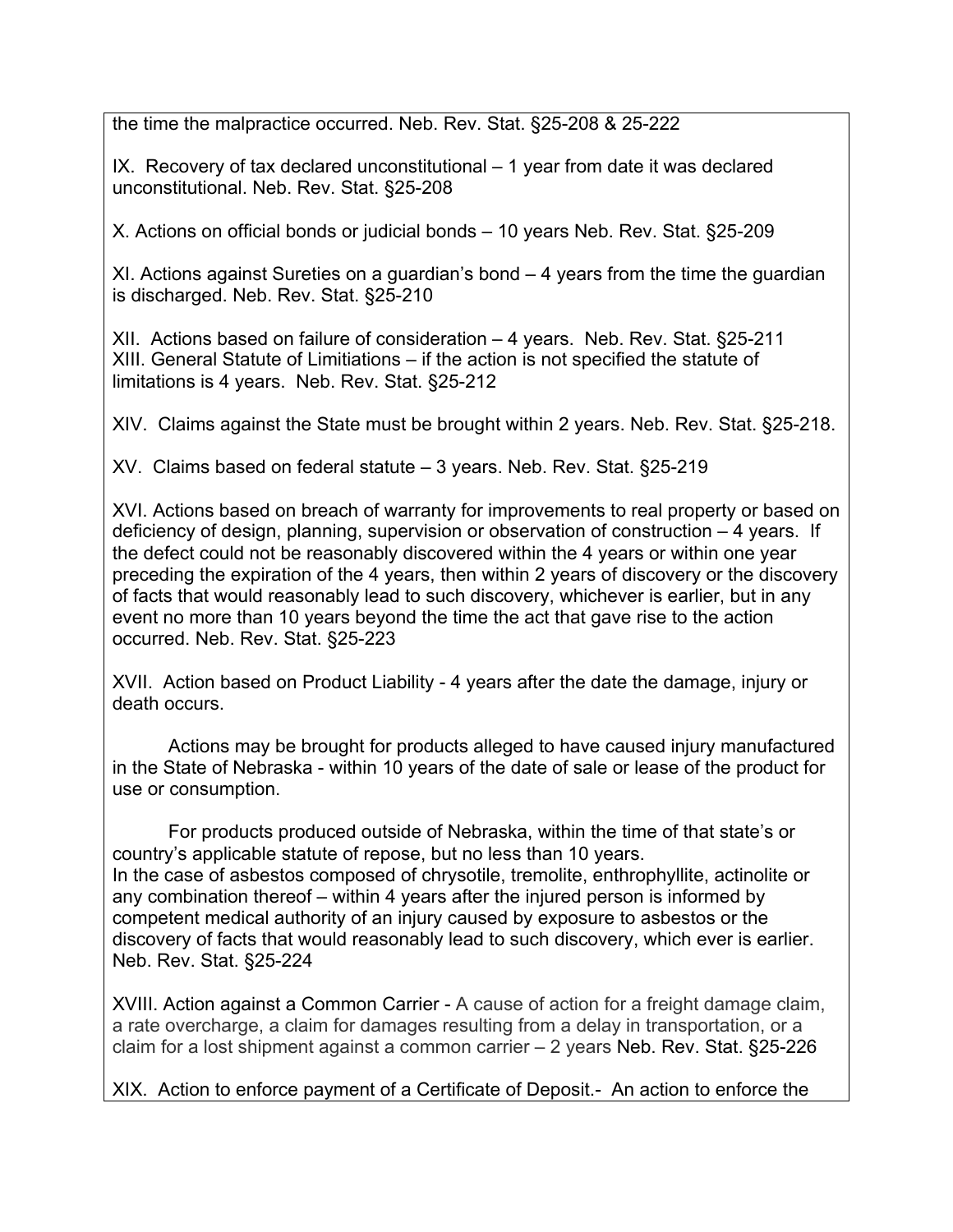the time the malpractice occurred. Neb. Rev. Stat. §25-208 & 25-222

IX. Recovery of tax declared unconstitutional – 1 year from date it was declared unconstitutional. Neb. Rev. Stat. §25-208

X. Actions on official bonds or judicial bonds – 10 years Neb. Rev. Stat. §25-209

XI. Actions against Sureties on a guardian's bond – 4 years from the time the guardian is discharged. Neb. Rev. Stat. §25-210

XII. Actions based on failure of consideration – 4 years. Neb. Rev. Stat. §25-211 XIII. General Statute of Limitiations – if the action is not specified the statute of limitations is 4 years. Neb. Rev. Stat. §25-212

XIV. Claims against the State must be brought within 2 years. Neb. Rev. Stat. §25-218.

XV. Claims based on federal statute – 3 years. Neb. Rev. Stat. §25-219

XVI. Actions based on breach of warranty for improvements to real property or based on deficiency of design, planning, supervision or observation of construction – 4 years. If the defect could not be reasonably discovered within the 4 years or within one year preceding the expiration of the 4 years, then within 2 years of discovery or the discovery of facts that would reasonably lead to such discovery, whichever is earlier, but in any event no more than 10 years beyond the time the act that gave rise to the action occurred. Neb. Rev. Stat. §25-223

XVII. Action based on Product Liability - 4 years after the date the damage, injury or death occurs.

Actions may be brought for products alleged to have caused injury manufactured in the State of Nebraska - within 10 years of the date of sale or lease of the product for use or consumption.

For products produced outside of Nebraska, within the time of that state's or country's applicable statute of repose, but no less than 10 years. In the case of asbestos composed of chrysotile, tremolite, enthrophyllite, actinolite or any combination thereof – within 4 years after the injured person is informed by competent medical authority of an injury caused by exposure to asbestos or the discovery of facts that would reasonably lead to such discovery, which ever is earlier. Neb. Rev. Stat. §25-224

XVIII. Action against a Common Carrier - A cause of action for a freight damage claim, a rate overcharge, a claim for damages resulting from a delay in transportation, or a claim for a lost shipment against a common carrier – 2 years Neb. Rev. Stat. §25-226

XIX. Action to enforce payment of a Certificate of Deposit.- An action to enforce the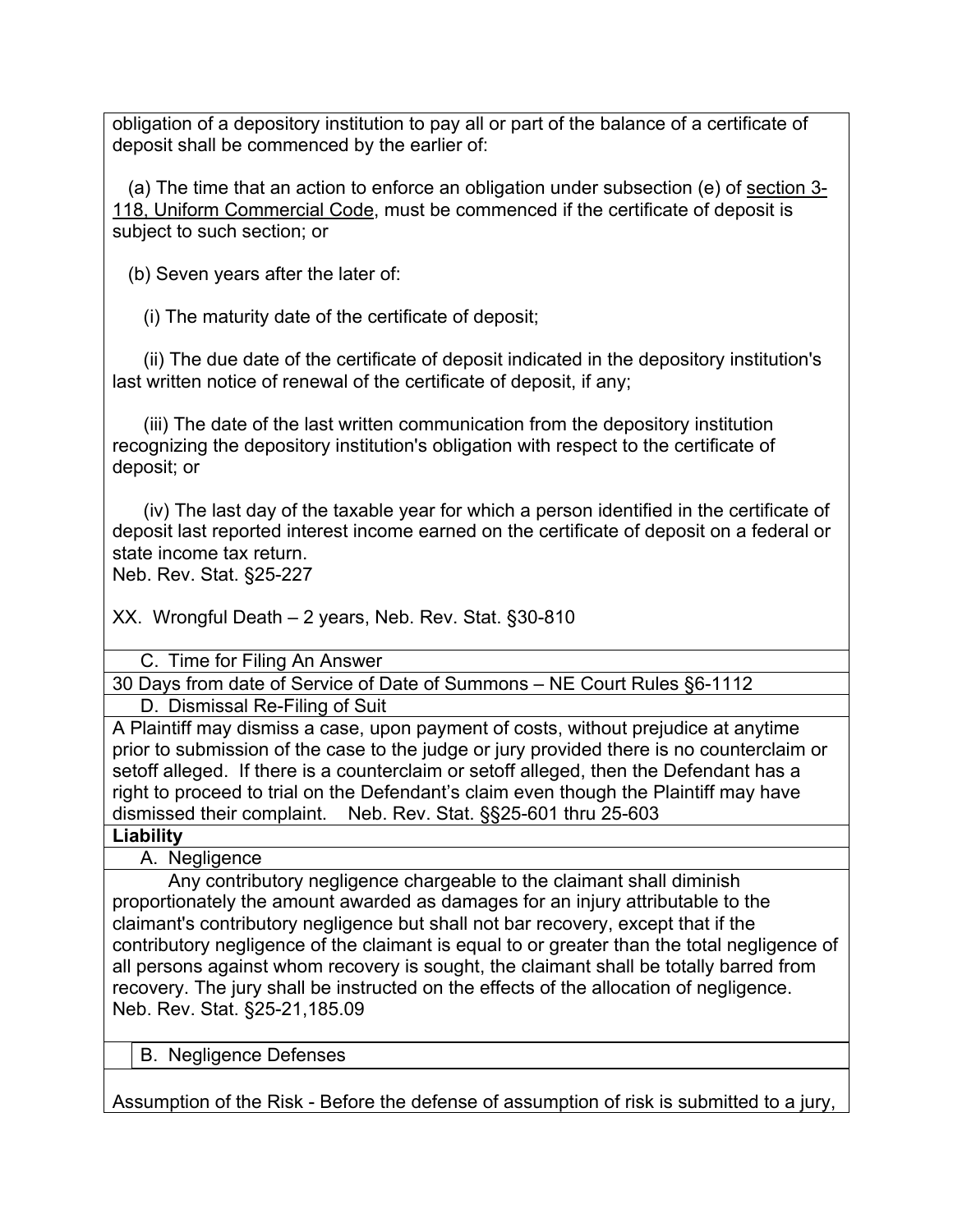obligation of a depository institution to pay all or part of the balance of a certificate of deposit shall be commenced by the earlier of:

 (a) The time that an action to enforce an obligation under subsection (e) of section 3- 118, Uniform Commercial Code, must be commenced if the certificate of deposit is subject to such section; or

(b) Seven years after the later of:

(i) The maturity date of the certificate of deposit;

 (ii) The due date of the certificate of deposit indicated in the depository institution's last written notice of renewal of the certificate of deposit, if any;

 (iii) The date of the last written communication from the depository institution recognizing the depository institution's obligation with respect to the certificate of deposit; or

 (iv) The last day of the taxable year for which a person identified in the certificate of deposit last reported interest income earned on the certificate of deposit on a federal or state income tax return.

Neb. Rev. Stat. §25-227

XX. Wrongful Death – 2 years, Neb. Rev. Stat. §30-810

C. Time for Filing An Answer

30 Days from date of Service of Date of Summons – NE Court Rules §6-1112

D. Dismissal Re-Filing of Suit

A Plaintiff may dismiss a case, upon payment of costs, without prejudice at anytime prior to submission of the case to the judge or jury provided there is no counterclaim or setoff alleged. If there is a counterclaim or setoff alleged, then the Defendant has a right to proceed to trial on the Defendant's claim even though the Plaintiff may have dismissed their complaint. Neb. Rev. Stat. §§25-601 thru 25-603

**Liability**

A. Negligence

Any contributory negligence chargeable to the claimant shall diminish proportionately the amount awarded as damages for an injury attributable to the claimant's contributory negligence but shall not bar recovery, except that if the contributory negligence of the claimant is equal to or greater than the total negligence of all persons against whom recovery is sought, the claimant shall be totally barred from recovery. The jury shall be instructed on the effects of the allocation of negligence. Neb. Rev. Stat. §25-21,185.09

B. Negligence Defenses

Assumption of the Risk - Before the defense of assumption of risk is submitted to a jury,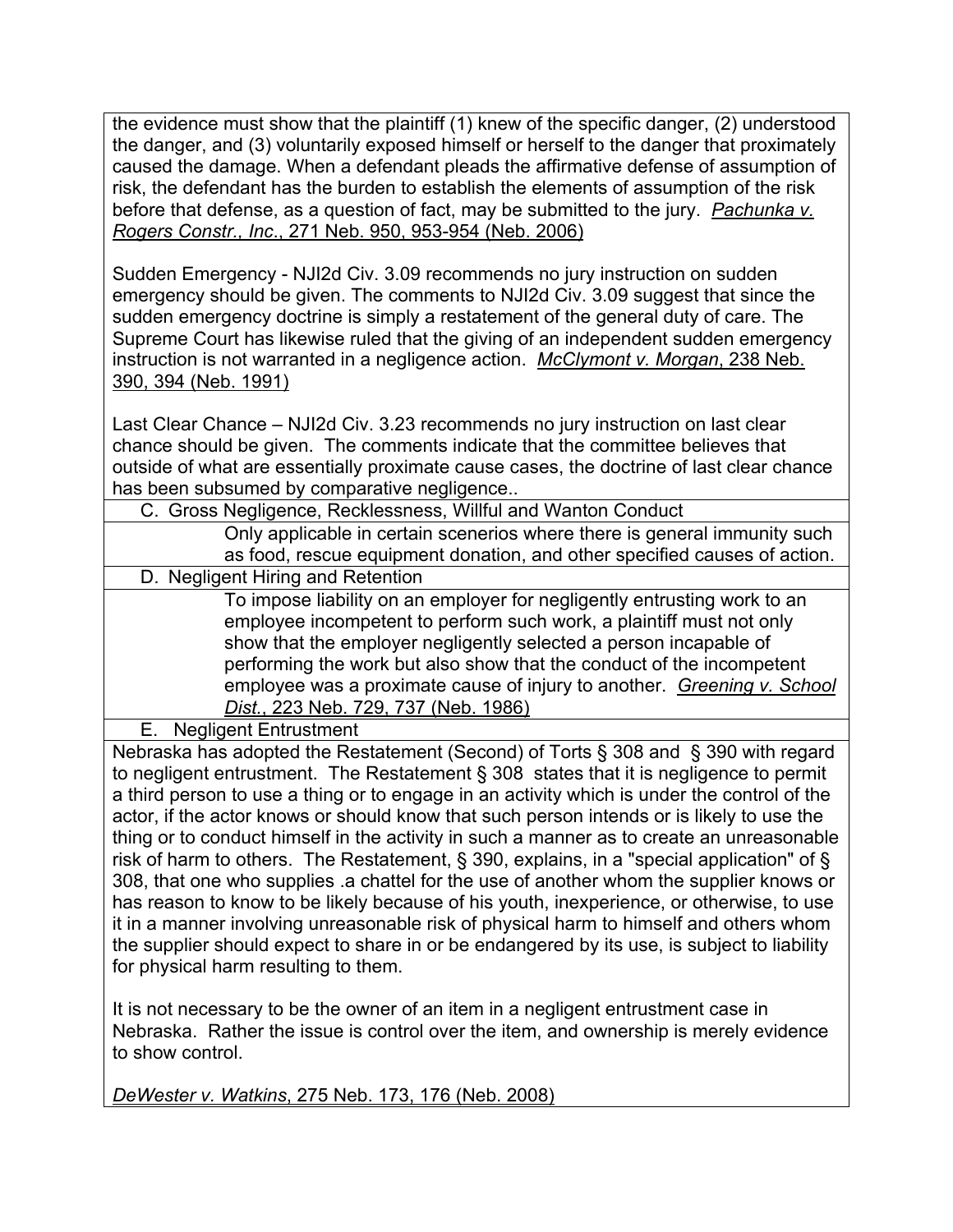the evidence must show that the plaintiff (1) knew of the specific danger, (2) understood the danger, and (3) voluntarily exposed himself or herself to the danger that proximately caused the damage. When a defendant pleads the affirmative defense of assumption of risk, the defendant has the burden to establish the elements of assumption of the risk before that defense, as a question of fact, may be submitted to the jury. *Pachunka v. Rogers Constr., Inc*., 271 Neb. 950, 953-954 (Neb. 2006)

Sudden Emergency - NJI2d Civ. 3.09 recommends no jury instruction on sudden emergency should be given. The comments to NJI2d Civ. 3.09 suggest that since the sudden emergency doctrine is simply a restatement of the general duty of care. The Supreme Court has likewise ruled that the giving of an independent sudden emergency instruction is not warranted in a negligence action. *McClymont v. Morgan*, 238 Neb. 390, 394 (Neb. 1991)

Last Clear Chance – NJI2d Civ. 3.23 recommends no jury instruction on last clear chance should be given. The comments indicate that the committee believes that outside of what are essentially proximate cause cases, the doctrine of last clear chance has been subsumed by comparative negligence..

C. Gross Negligence, Recklessness, Willful and Wanton Conduct

Only applicable in certain scenerios where there is general immunity such as food, rescue equipment donation, and other specified causes of action.

D. Negligent Hiring and Retention

To impose liability on an employer for negligently entrusting work to an employee incompetent to perform such work, a plaintiff must not only show that the employer negligently selected a person incapable of performing the work but also show that the conduct of the incompetent employee was a proximate cause of injury to another. *Greening v. School Dist.*, 223 Neb. 729, 737 (Neb. 1986)

E. Negligent Entrustment

Nebraska has adopted the Restatement (Second) of Torts § 308 and § 390 with regard to negligent entrustment. The Restatement § 308 states that it is negligence to permit a third person to use a thing or to engage in an activity which is under the control of the actor, if the actor knows or should know that such person intends or is likely to use the thing or to conduct himself in the activity in such a manner as to create an unreasonable risk of harm to others. The Restatement, § 390, explains, in a "special application" of § 308, that one who supplies .a chattel for the use of another whom the supplier knows or has reason to know to be likely because of his youth, inexperience, or otherwise, to use it in a manner involving unreasonable risk of physical harm to himself and others whom the supplier should expect to share in or be endangered by its use, is subject to liability for physical harm resulting to them.

It is not necessary to be the owner of an item in a negligent entrustment case in Nebraska. Rather the issue is control over the item, and ownership is merely evidence to show control.

*DeWester v. Watkins*, 275 Neb. 173, 176 (Neb. 2008)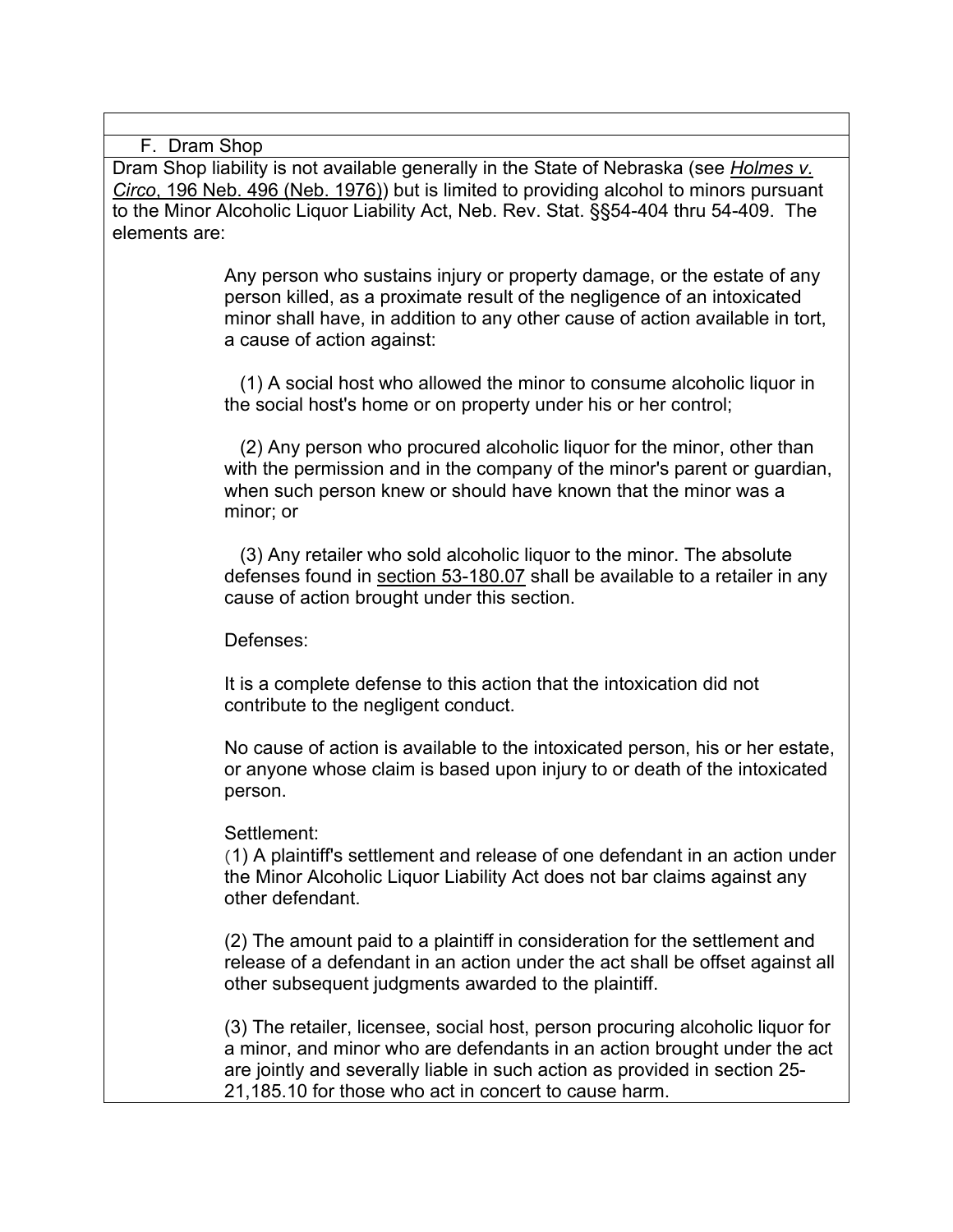F. Dram Shop

Dram Shop liability is not available generally in the State of Nebraska (see *Holmes v. Circo*, 196 Neb. 496 (Neb. 1976)) but is limited to providing alcohol to minors pursuant to the Minor Alcoholic Liquor Liability Act, Neb. Rev. Stat. §§54-404 thru 54-409. The elements are:

> Any person who sustains injury or property damage, or the estate of any person killed, as a proximate result of the negligence of an intoxicated minor shall have, in addition to any other cause of action available in tort, a cause of action against:

 (1) A social host who allowed the minor to consume alcoholic liquor in the social host's home or on property under his or her control;

 (2) Any person who procured alcoholic liquor for the minor, other than with the permission and in the company of the minor's parent or guardian, when such person knew or should have known that the minor was a minor; or

 (3) Any retailer who sold alcoholic liquor to the minor. The absolute defenses found in section 53-180.07 shall be available to a retailer in any cause of action brought under this section.

Defenses:

It is a complete defense to this action that the intoxication did not contribute to the negligent conduct.

No cause of action is available to the intoxicated person, his or her estate, or anyone whose claim is based upon injury to or death of the intoxicated person.

#### Settlement:

(1) A plaintiff's settlement and release of one defendant in an action under the Minor Alcoholic Liquor Liability Act does not bar claims against any other defendant.

(2) The amount paid to a plaintiff in consideration for the settlement and release of a defendant in an action under the act shall be offset against all other subsequent judgments awarded to the plaintiff.

(3) The retailer, licensee, social host, person procuring alcoholic liquor for a minor, and minor who are defendants in an action brought under the act are jointly and severally liable in such action as provided in section 25- 21,185.10 for those who act in concert to cause harm.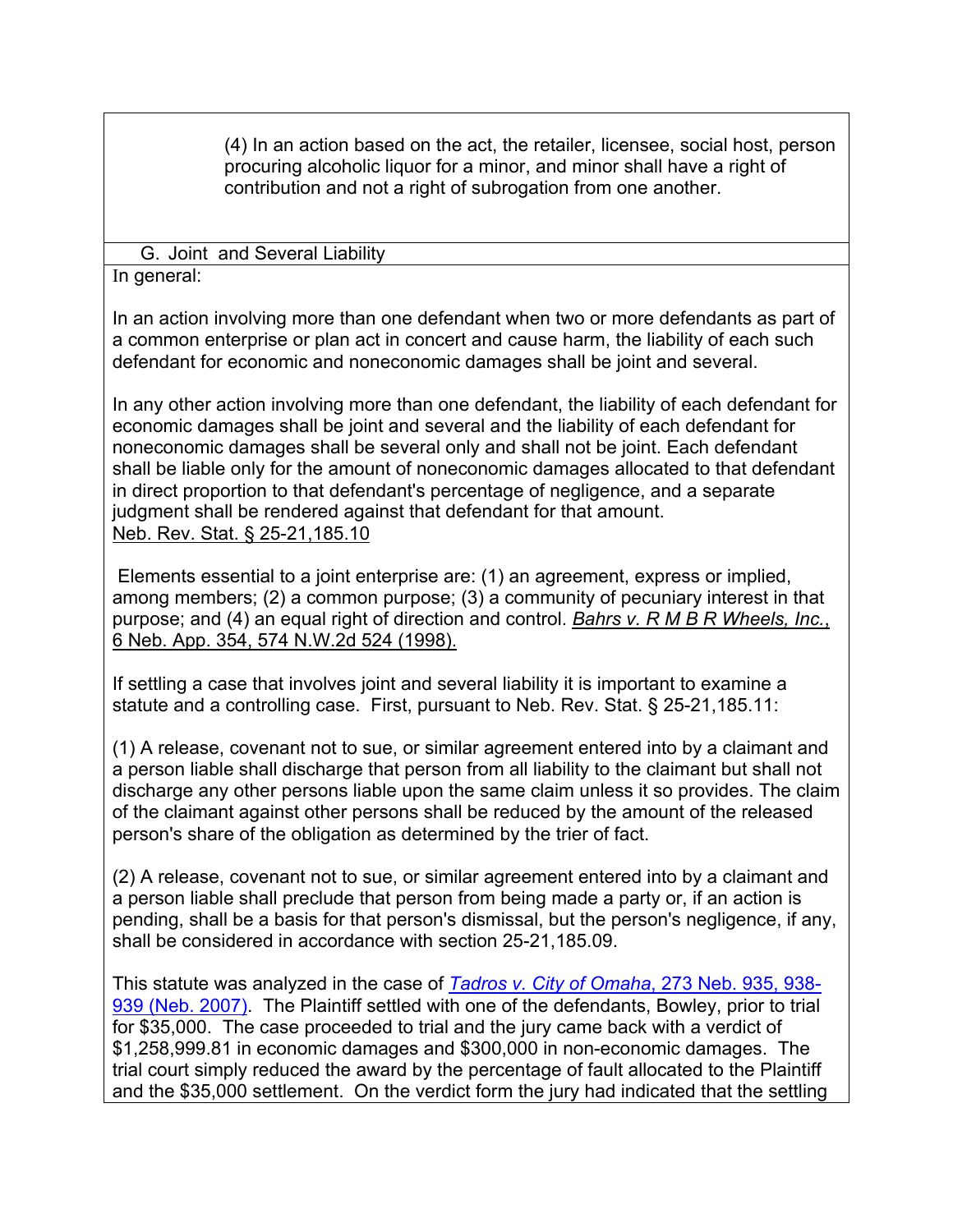(4) In an action based on the act, the retailer, licensee, social host, person procuring alcoholic liquor for a minor, and minor shall have a right of contribution and not a right of subrogation from one another.

G. Joint and Several Liability

In general:

In an action involving more than one defendant when two or more defendants as part of a common enterprise or plan act in concert and cause harm, the liability of each such defendant for economic and noneconomic damages shall be joint and several.

In any other action involving more than one defendant, the liability of each defendant for economic damages shall be joint and several and the liability of each defendant for noneconomic damages shall be several only and shall not be joint. Each defendant shall be liable only for the amount of noneconomic damages allocated to that defendant in direct proportion to that defendant's percentage of negligence, and a separate judgment shall be rendered against that defendant for that amount. Neb. Rev. Stat. § 25-21,185.10

Elements essential to a joint enterprise are: (1) an agreement, express or implied, among members; (2) a common purpose; (3) a community of pecuniary interest in that purpose; and (4) an equal right of direction and control. *Bahrs v. R M B R Wheels, Inc.*, 6 Neb. App. 354, 574 N.W.2d 524 (1998).

If settling a case that involves joint and several liability it is important to examine a statute and a controlling case. First, pursuant to Neb. Rev. Stat. § 25-21,185.11:

(1) A release, covenant not to sue, or similar agreement entered into by a claimant and a person liable shall discharge that person from all liability to the claimant but shall not discharge any other persons liable upon the same claim unless it so provides. The claim of the claimant against other persons shall be reduced by the amount of the released person's share of the obligation as determined by the trier of fact.

(2) A release, covenant not to sue, or similar agreement entered into by a claimant and a person liable shall preclude that person from being made a party or, if an action is pending, shall be a basis for that person's dismissal, but the person's negligence, if any, shall be considered in accordance with section 25-21,185.09.

This statute was analyzed in the case of *Tadros v. City of Omaha*, 273 Neb. 935, 938- 939 (Neb. 2007). The Plaintiff settled with one of the defendants, Bowley, prior to trial for \$35,000. The case proceeded to trial and the jury came back with a verdict of \$1,258,999.81 in economic damages and \$300,000 in non-economic damages. The trial court simply reduced the award by the percentage of fault allocated to the Plaintiff and the \$35,000 settlement. On the verdict form the jury had indicated that the settling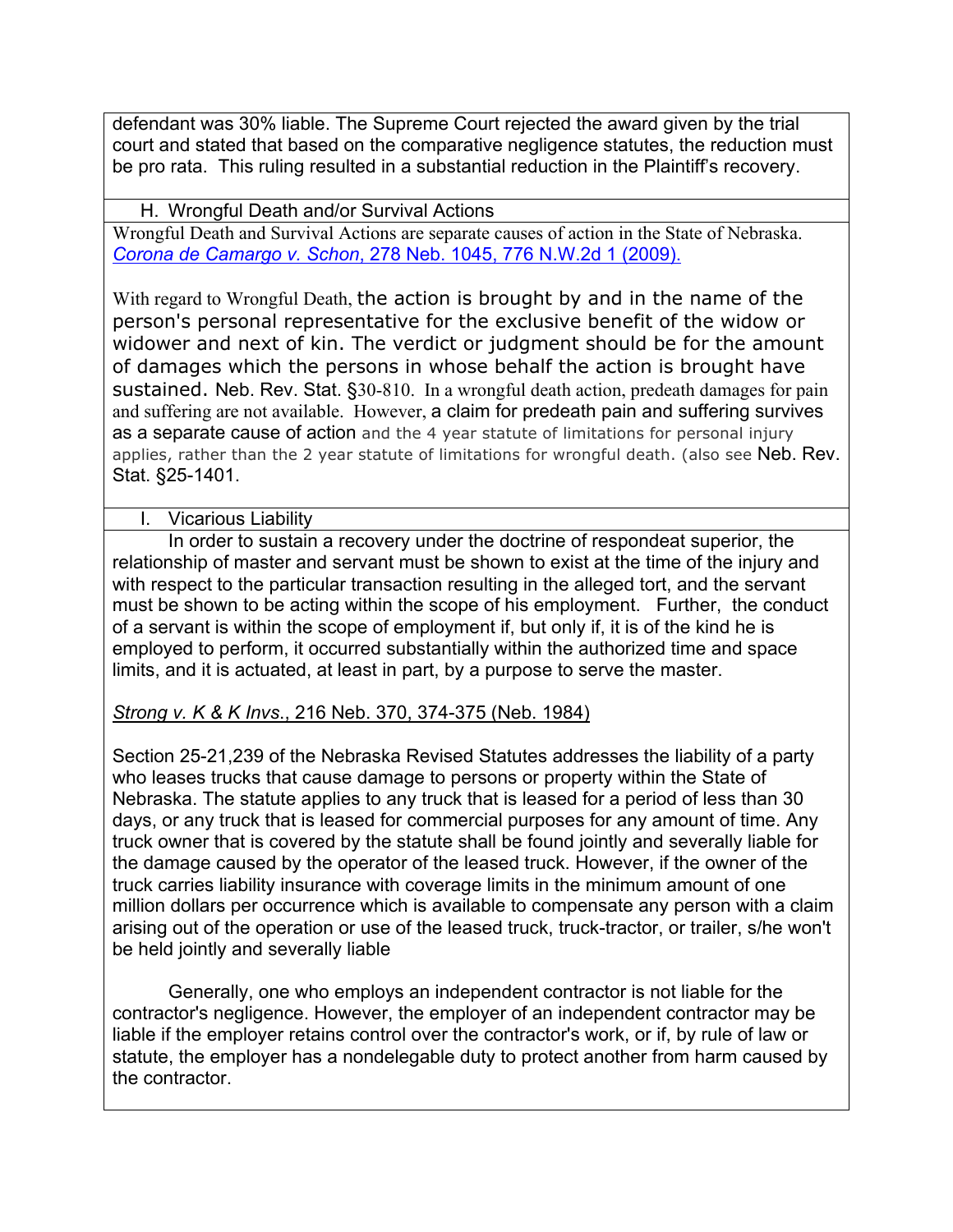defendant was 30% liable. The Supreme Court rejected the award given by the trial court and stated that based on the comparative negligence statutes, the reduction must be pro rata. This ruling resulted in a substantial reduction in the Plaintiff's recovery.

H. Wrongful Death and/or Survival Actions Wrongful Death and Survival Actions are separate causes of action in the State of Nebraska. *Corona de Camargo v. Schon*, 278 Neb. 1045, 776 N.W.2d 1 (2009).

With regard to Wrongful Death, the action is brought by and in the name of the person's personal representative for the exclusive benefit of the widow or widower and next of kin. The verdict or judgment should be for the amount of damages which the persons in whose behalf the action is brought have sustained. Neb. Rev. Stat. §30-810. In a wrongful death action, predeath damages for pain and suffering are not available. However, a claim for predeath pain and suffering survives as a separate cause of action and the 4 year statute of limitations for personal injury applies, rather than the 2 year statute of limitations for wrongful death. (also see Neb. Rev. Stat. §25-1401.

#### I. Vicarious Liability

In order to sustain a recovery under the doctrine of respondeat superior, the relationship of master and servant must be shown to exist at the time of the injury and with respect to the particular transaction resulting in the alleged tort, and the servant must be shown to be acting within the scope of his employment. Further, the conduct of a servant is within the scope of employment if, but only if, it is of the kind he is employed to perform, it occurred substantially within the authorized time and space limits, and it is actuated, at least in part, by a purpose to serve the master.

## *Strong v. K & K Invs*., 216 Neb. 370, 374-375 (Neb. 1984)

Section 25-21,239 of the Nebraska Revised Statutes addresses the liability of a party who leases trucks that cause damage to persons or property within the State of Nebraska. The statute applies to any truck that is leased for a period of less than 30 days, or any truck that is leased for commercial purposes for any amount of time. Any truck owner that is covered by the statute shall be found jointly and severally liable for the damage caused by the operator of the leased truck. However, if the owner of the truck carries liability insurance with coverage limits in the minimum amount of one million dollars per occurrence which is available to compensate any person with a claim arising out of the operation or use of the leased truck, truck-tractor, or trailer, s/he won't be held jointly and severally liable

Generally, one who employs an independent contractor is not liable for the contractor's negligence. However, the employer of an independent contractor may be liable if the employer retains control over the contractor's work, or if, by rule of law or statute, the employer has a nondelegable duty to protect another from harm caused by the contractor.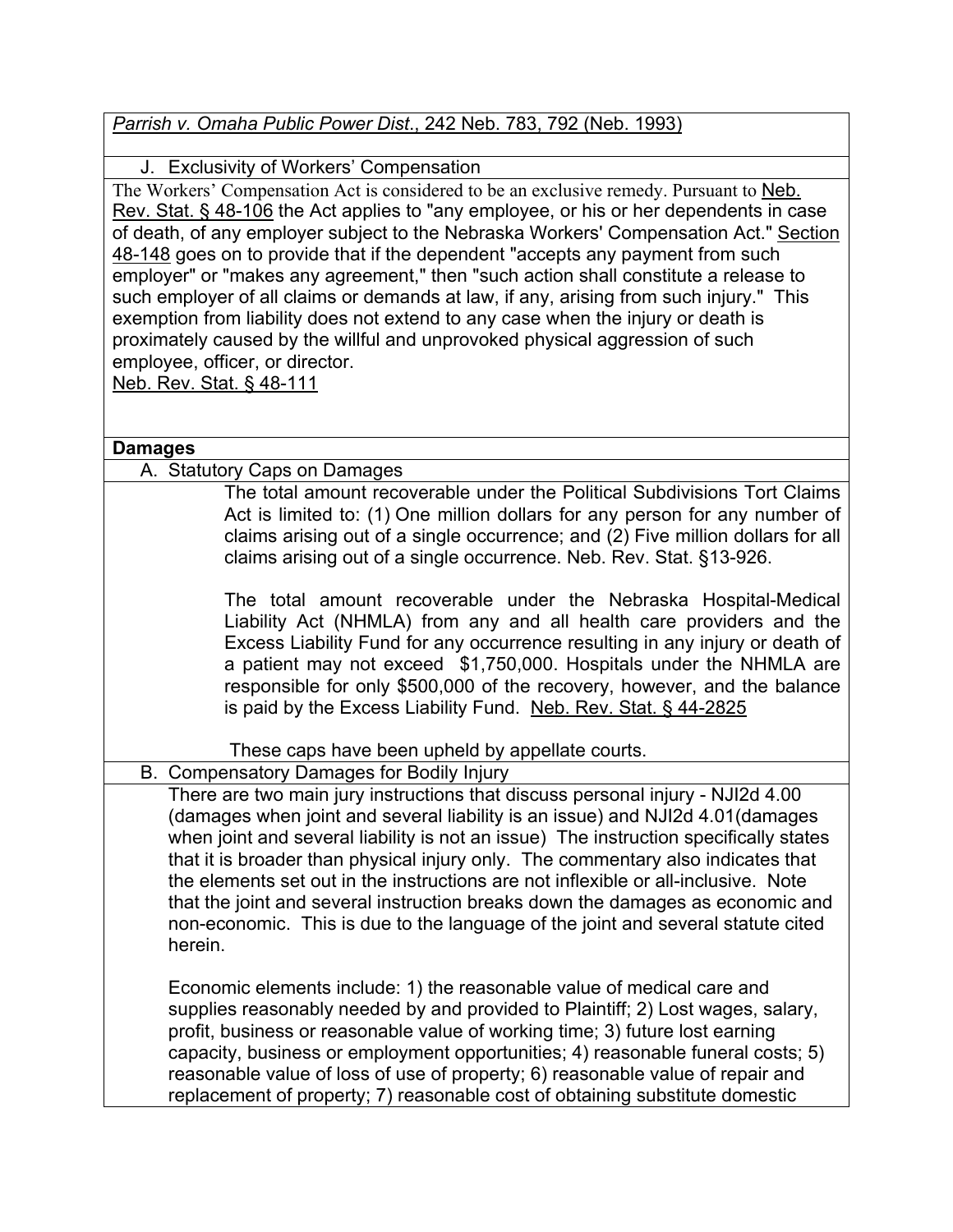## *Parrish v. Omaha Public Power Dist*., 242 Neb. 783, 792 (Neb. 1993)

### J. Exclusivity of Workers' Compensation

The Workers' Compensation Act is considered to be an exclusive remedy. Pursuant to Neb. Rev. Stat. § 48-106 the Act applies to "any employee, or his or her dependents in case of death, of any employer subject to the Nebraska Workers' Compensation Act." Section 48-148 goes on to provide that if the dependent "accepts any payment from such employer" or "makes any agreement," then "such action shall constitute a release to such employer of all claims or demands at law, if any, arising from such injury." This exemption from liability does not extend to any case when the injury or death is proximately caused by the willful and unprovoked physical aggression of such employee, officer, or director. Neb. Rev. Stat. § 48-111

#### **Damages**

#### A. Statutory Caps on Damages

The total amount recoverable under the Political Subdivisions Tort Claims Act is limited to: (1) One million dollars for any person for any number of claims arising out of a single occurrence; and (2) Five million dollars for all claims arising out of a single occurrence. Neb. Rev. Stat. §13-926.

The total amount recoverable under the Nebraska Hospital-Medical Liability Act (NHMLA) from any and all health care providers and the Excess Liability Fund for any occurrence resulting in any injury or death of a patient may not exceed \$1,750,000. Hospitals under the NHMLA are responsible for only \$500,000 of the recovery, however, and the balance is paid by the Excess Liability Fund. Neb. Rev. Stat. § 44-2825

These caps have been upheld by appellate courts.

B. Compensatory Damages for Bodily Injury

There are two main jury instructions that discuss personal injury - NJI2d 4.00 (damages when joint and several liability is an issue) and NJI2d 4.01(damages when joint and several liability is not an issue) The instruction specifically states that it is broader than physical injury only. The commentary also indicates that the elements set out in the instructions are not inflexible or all-inclusive. Note that the joint and several instruction breaks down the damages as economic and non-economic. This is due to the language of the joint and several statute cited herein.

Economic elements include: 1) the reasonable value of medical care and supplies reasonably needed by and provided to Plaintiff; 2) Lost wages, salary, profit, business or reasonable value of working time; 3) future lost earning capacity, business or employment opportunities; 4) reasonable funeral costs; 5) reasonable value of loss of use of property; 6) reasonable value of repair and replacement of property; 7) reasonable cost of obtaining substitute domestic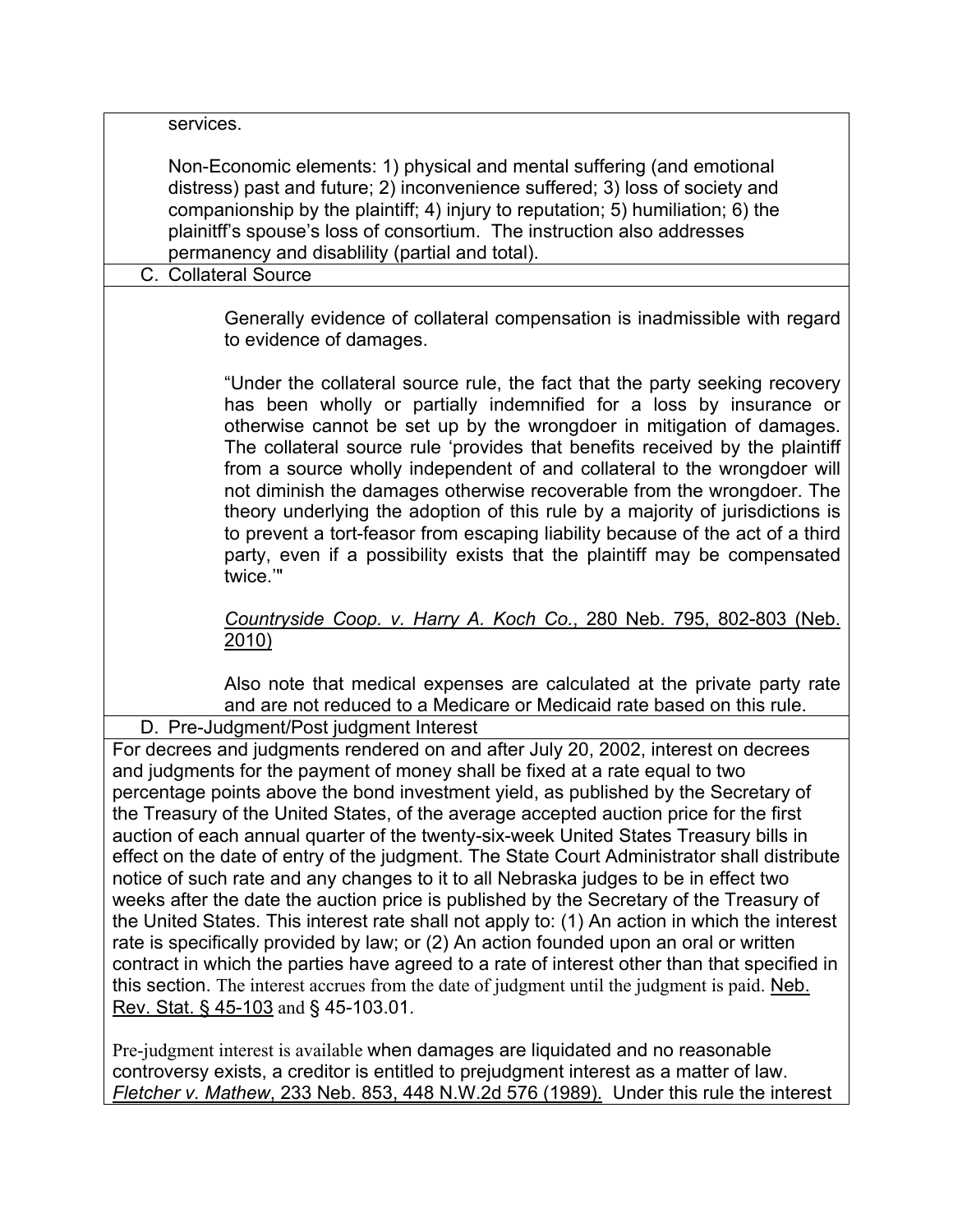| services.                                                                                                                                                                                                                                                                                                                                                                                                                                                                                                                                                                                                                                                                                                                                                                                                                                                                                                                                                                                                                                                                                                                                                          |
|--------------------------------------------------------------------------------------------------------------------------------------------------------------------------------------------------------------------------------------------------------------------------------------------------------------------------------------------------------------------------------------------------------------------------------------------------------------------------------------------------------------------------------------------------------------------------------------------------------------------------------------------------------------------------------------------------------------------------------------------------------------------------------------------------------------------------------------------------------------------------------------------------------------------------------------------------------------------------------------------------------------------------------------------------------------------------------------------------------------------------------------------------------------------|
| Non-Economic elements: 1) physical and mental suffering (and emotional<br>distress) past and future; 2) inconvenience suffered; 3) loss of society and<br>companionship by the plaintiff; 4) injury to reputation; 5) humiliation; 6) the<br>plainitff's spouse's loss of consortium. The instruction also addresses<br>permanency and disablility (partial and total).<br>C. Collateral Source                                                                                                                                                                                                                                                                                                                                                                                                                                                                                                                                                                                                                                                                                                                                                                    |
|                                                                                                                                                                                                                                                                                                                                                                                                                                                                                                                                                                                                                                                                                                                                                                                                                                                                                                                                                                                                                                                                                                                                                                    |
| Generally evidence of collateral compensation is inadmissible with regard<br>to evidence of damages.                                                                                                                                                                                                                                                                                                                                                                                                                                                                                                                                                                                                                                                                                                                                                                                                                                                                                                                                                                                                                                                               |
| "Under the collateral source rule, the fact that the party seeking recovery<br>has been wholly or partially indemnified for a loss by insurance or<br>otherwise cannot be set up by the wrongdoer in mitigation of damages.<br>The collateral source rule 'provides that benefits received by the plaintiff<br>from a source wholly independent of and collateral to the wrongdoer will<br>not diminish the damages otherwise recoverable from the wrongdoer. The<br>theory underlying the adoption of this rule by a majority of jurisdictions is<br>to prevent a tort-feasor from escaping liability because of the act of a third<br>party, even if a possibility exists that the plaintiff may be compensated<br>twice."                                                                                                                                                                                                                                                                                                                                                                                                                                       |
| Countryside Coop. v. Harry A. Koch Co., 280 Neb. 795, 802-803 (Neb.<br><u>2010)</u>                                                                                                                                                                                                                                                                                                                                                                                                                                                                                                                                                                                                                                                                                                                                                                                                                                                                                                                                                                                                                                                                                |
| Also note that medical expenses are calculated at the private party rate<br>and are not reduced to a Medicare or Medicaid rate based on this rule.<br>D. Pre-Judgment/Post judgment Interest                                                                                                                                                                                                                                                                                                                                                                                                                                                                                                                                                                                                                                                                                                                                                                                                                                                                                                                                                                       |
| For decrees and judgments rendered on and after July 20, 2002, interest on decrees<br>and judgments for the payment of money shall be fixed at a rate equal to two<br>percentage points above the bond investment yield, as published by the Secretary of<br>the Treasury of the United States, of the average accepted auction price for the first<br>auction of each annual quarter of the twenty-six-week United States Treasury bills in<br>effect on the date of entry of the judgment. The State Court Administrator shall distribute<br>notice of such rate and any changes to it to all Nebraska judges to be in effect two<br>weeks after the date the auction price is published by the Secretary of the Treasury of<br>the United States. This interest rate shall not apply to: (1) An action in which the interest<br>rate is specifically provided by law; or (2) An action founded upon an oral or written<br>contract in which the parties have agreed to a rate of interest other than that specified in<br>this section. The interest accrues from the date of judgment until the judgment is paid. Neb.<br>Rev. Stat. § 45-103 and § 45-103.01. |
| Pre-judgment interest is available when damages are liquidated and no reasonable                                                                                                                                                                                                                                                                                                                                                                                                                                                                                                                                                                                                                                                                                                                                                                                                                                                                                                                                                                                                                                                                                   |

Pre-judgment interest is available when damages are liquidated and no reasonable controversy exists, a creditor is entitled to prejudgment interest as a matter of law. *Fletcher v. Mathew*, 233 Neb. 853, 448 N.W.2d 576 (1989). Under this rule the interest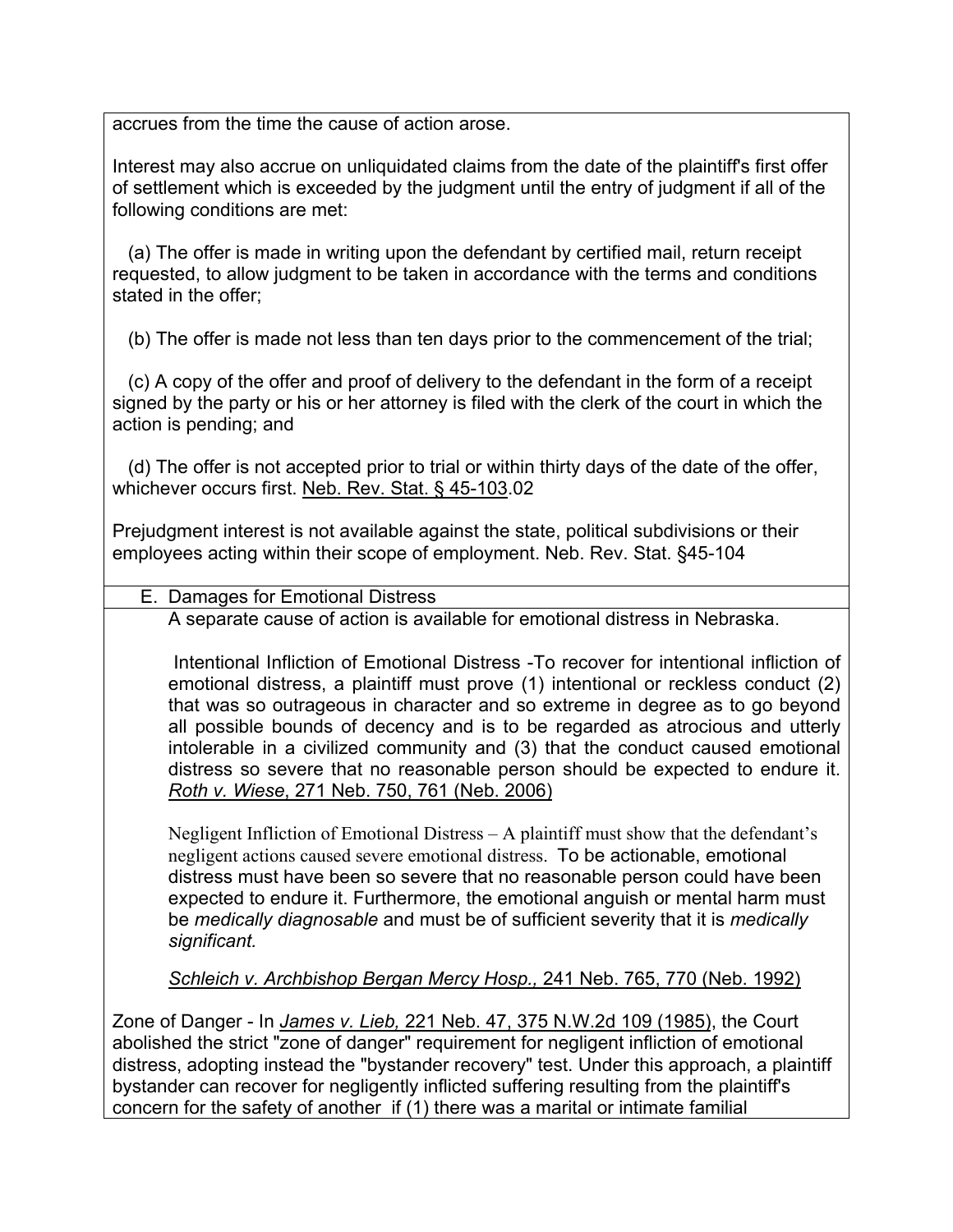accrues from the time the cause of action arose.

Interest may also accrue on unliquidated claims from the date of the plaintiff's first offer of settlement which is exceeded by the judgment until the entry of judgment if all of the following conditions are met:

 (a) The offer is made in writing upon the defendant by certified mail, return receipt requested, to allow judgment to be taken in accordance with the terms and conditions stated in the offer;

(b) The offer is made not less than ten days prior to the commencement of the trial;

 (c) A copy of the offer and proof of delivery to the defendant in the form of a receipt signed by the party or his or her attorney is filed with the clerk of the court in which the action is pending; and

 (d) The offer is not accepted prior to trial or within thirty days of the date of the offer, whichever occurs first. Neb. Rev. Stat. § 45-103.02

Prejudgment interest is not available against the state, political subdivisions or their employees acting within their scope of employment. Neb. Rev. Stat. §45-104

E. Damages for Emotional Distress

A separate cause of action is available for emotional distress in Nebraska.

 Intentional Infliction of Emotional Distress -To recover for intentional infliction of emotional distress, a plaintiff must prove (1) intentional or reckless conduct (2) that was so outrageous in character and so extreme in degree as to go beyond all possible bounds of decency and is to be regarded as atrocious and utterly intolerable in a civilized community and (3) that the conduct caused emotional distress so severe that no reasonable person should be expected to endure it. *Roth v. Wiese*, 271 Neb. 750, 761 (Neb. 2006)

Negligent Infliction of Emotional Distress – A plaintiff must show that the defendant's negligent actions caused severe emotional distress. To be actionable, emotional distress must have been so severe that no reasonable person could have been expected to endure it. Furthermore, the emotional anguish or mental harm must be *medically diagnosable* and must be of sufficient severity that it is *medically significant.*

*Schleich v. Archbishop Bergan Mercy Hosp.,* 241 Neb. 765, 770 (Neb. 1992)

Zone of Danger - In *James v. Lieb,* 221 Neb. 47, 375 N.W.2d 109 (1985), the Court abolished the strict "zone of danger" requirement for negligent infliction of emotional distress, adopting instead the "bystander recovery" test. Under this approach, a plaintiff bystander can recover for negligently inflicted suffering resulting from the plaintiff's concern for the safety of another if (1) there was a marital or intimate familial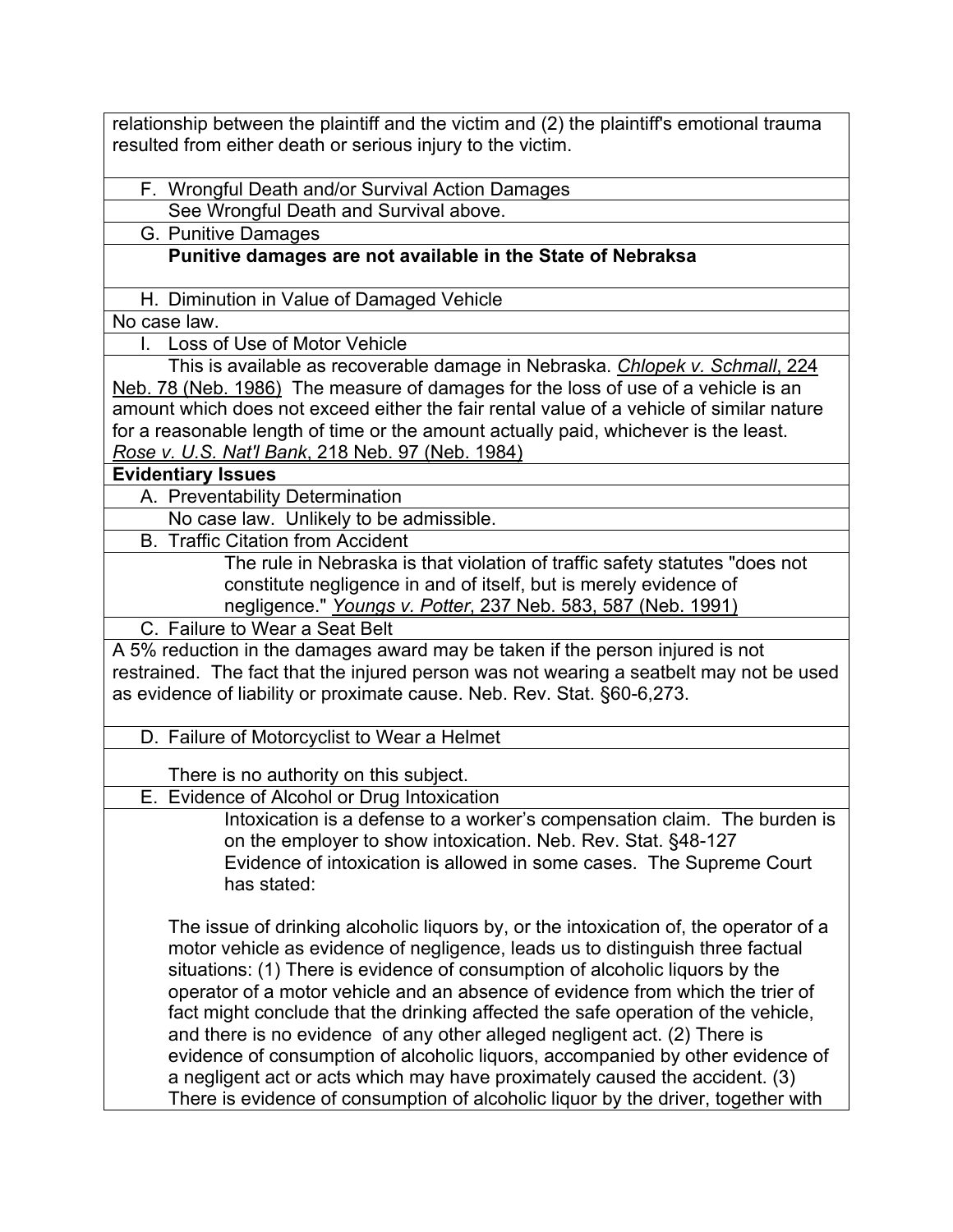relationship between the plaintiff and the victim and (2) the plaintiff's emotional trauma resulted from either death or serious injury to the victim.

F. Wrongful Death and/or Survival Action Damages

See Wrongful Death and Survival above.

G. Punitive Damages

### **Punitive damages are not available in the State of Nebraksa**

H. Diminution in Value of Damaged Vehicle

No case law.

I. Loss of Use of Motor Vehicle

This is available as recoverable damage in Nebraska. *Chlopek v. Schmall*, 224 Neb. 78 (Neb. 1986) The measure of damages for the loss of use of a vehicle is an amount which does not exceed either the fair rental value of a vehicle of similar nature for a reasonable length of time or the amount actually paid, whichever is the least. *Rose v. U.S. Nat'l Bank*, 218 Neb. 97 (Neb. 1984)

**Evidentiary Issues**

A. Preventability Determination

No case law. Unlikely to be admissible.

B. Traffic Citation from Accident

The rule in Nebraska is that violation of traffic safety statutes "does not constitute negligence in and of itself, but is merely evidence of negligence." *Youngs v. Potter*, 237 Neb. 583, 587 (Neb. 1991)

C. Failure to Wear a Seat Belt

A 5% reduction in the damages award may be taken if the person injured is not restrained. The fact that the injured person was not wearing a seatbelt may not be used as evidence of liability or proximate cause. Neb. Rev. Stat. §60-6,273.

D. Failure of Motorcyclist to Wear a Helmet

There is no authority on this subject.

E. Evidence of Alcohol or Drug Intoxication

Intoxication is a defense to a worker's compensation claim. The burden is on the employer to show intoxication. Neb. Rev. Stat. §48-127 Evidence of intoxication is allowed in some cases. The Supreme Court has stated:

The issue of drinking alcoholic liquors by, or the intoxication of, the operator of a motor vehicle as evidence of negligence, leads us to distinguish three factual situations: (1) There is evidence of consumption of alcoholic liquors by the operator of a motor vehicle and an absence of evidence from which the trier of fact might conclude that the drinking affected the safe operation of the vehicle, and there is no evidence of any other alleged negligent act. (2) There is evidence of consumption of alcoholic liquors, accompanied by other evidence of a negligent act or acts which may have proximately caused the accident. (3) There is evidence of consumption of alcoholic liquor by the driver, together with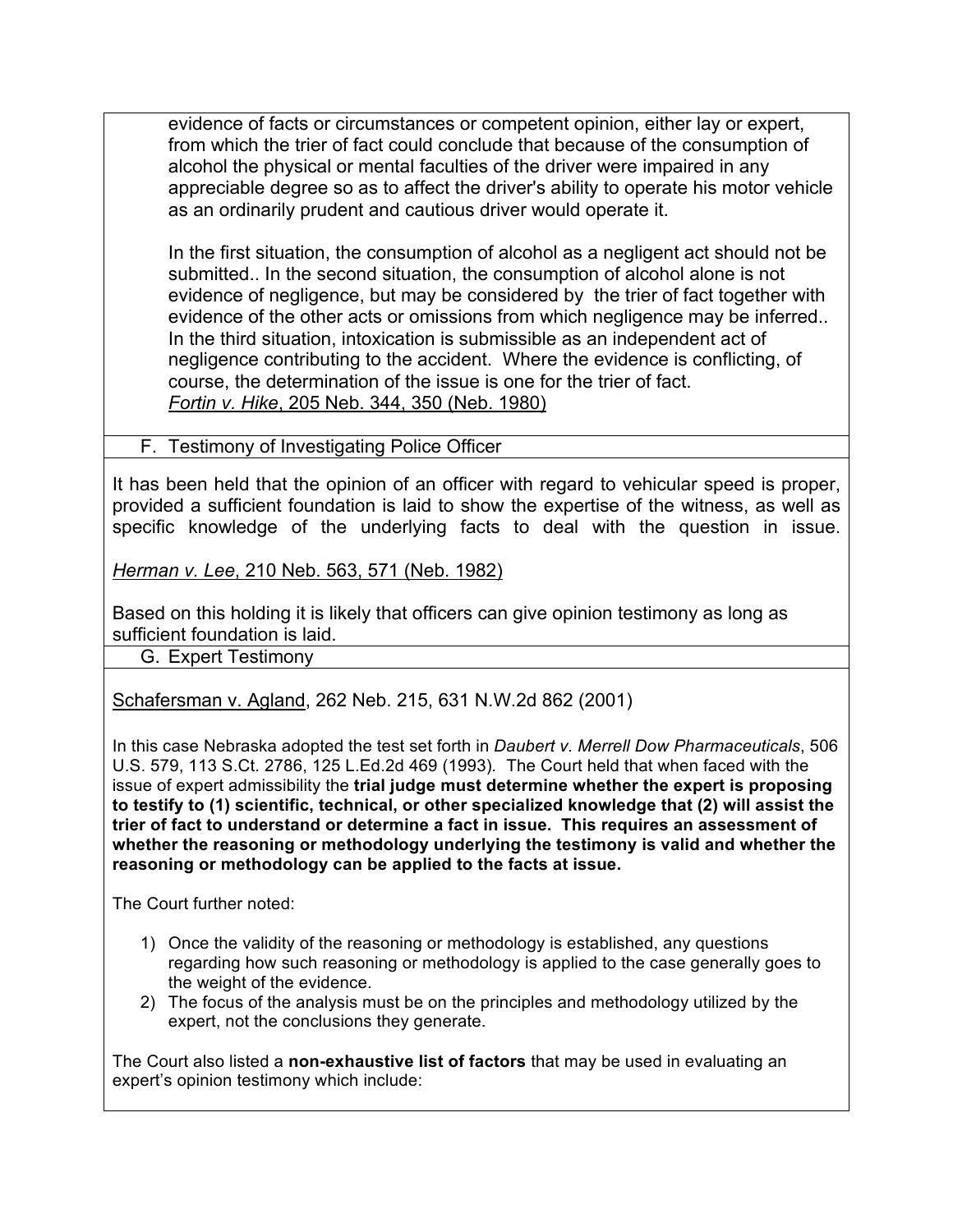evidence of facts or circumstances or competent opinion, either lay or expert, from which the trier of fact could conclude that because of the consumption of alcohol the physical or mental faculties of the driver were impaired in any appreciable degree so as to affect the driver's ability to operate his motor vehicle as an ordinarily prudent and cautious driver would operate it.

In the first situation, the consumption of alcohol as a negligent act should not be submitted.. In the second situation, the consumption of alcohol alone is not evidence of negligence, but may be considered by the trier of fact together with evidence of the other acts or omissions from which negligence may be inferred.. In the third situation, intoxication is submissible as an independent act of negligence contributing to the accident. Where the evidence is conflicting, of course, the determination of the issue is one for the trier of fact. *Fortin v. Hike*, 205 Neb. 344, 350 (Neb. 1980)

F. Testimony of Investigating Police Officer

It has been held that the opinion of an officer with regard to vehicular speed is proper, provided a sufficient foundation is laid to show the expertise of the witness, as well as specific knowledge of the underlying facts to deal with the question in issue.

*Herman v. Lee*, 210 Neb. 563, 571 (Neb. 1982)

Based on this holding it is likely that officers can give opinion testimony as long as sufficient foundation is laid.

G. Expert Testimony

Schafersman v. Agland, 262 Neb. 215, 631 N.W.2d 862 (2001)

In this case Nebraska adopted the test set forth in *Daubert v. Merrell Dow Pharmaceuticals*, 506 U.S. 579, 113 S.Ct. 2786, 125 L.Ed.2d 469 (1993)*.* The Court held that when faced with the issue of expert admissibility the **trial judge must determine whether the expert is proposing to testify to (1) scientific, technical, or other specialized knowledge that (2) will assist the trier of fact to understand or determine a fact in issue. This requires an assessment of whether the reasoning or methodology underlying the testimony is valid and whether the reasoning or methodology can be applied to the facts at issue.**

The Court further noted:

- 1) Once the validity of the reasoning or methodology is established, any questions regarding how such reasoning or methodology is applied to the case generally goes to the weight of the evidence.
- 2) The focus of the analysis must be on the principles and methodology utilized by the expert, not the conclusions they generate.

The Court also listed a **non-exhaustive list of factors** that may be used in evaluating an expert's opinion testimony which include: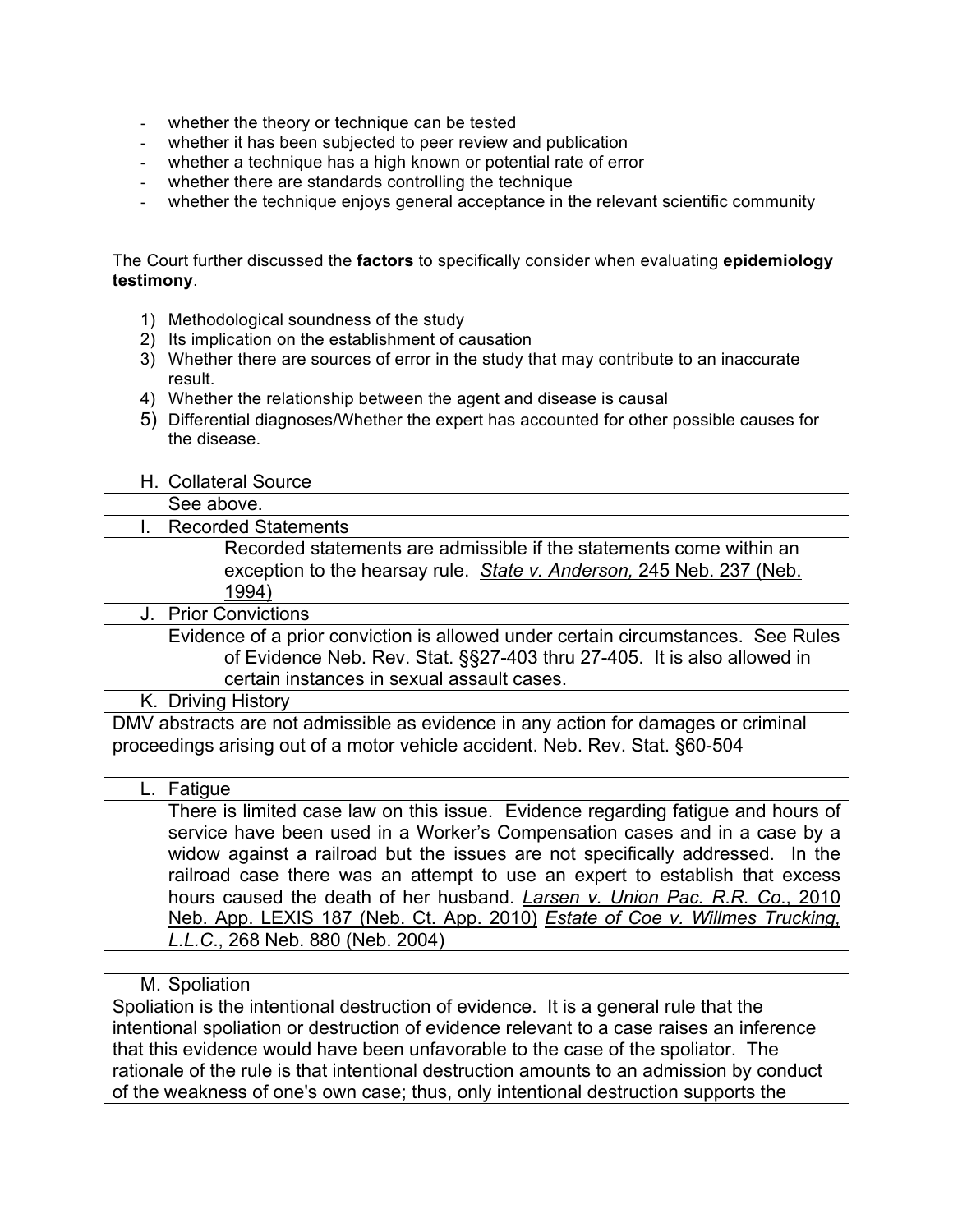- whether the theory or technique can be tested
- whether it has been subjected to peer review and publication
- whether a technique has a high known or potential rate of error
- whether there are standards controlling the technique
- whether the technique enjoys general acceptance in the relevant scientific community

The Court further discussed the **factors** to specifically consider when evaluating **epidemiology testimony**.

- 1) Methodological soundness of the study
- 2) Its implication on the establishment of causation
- 3) Whether there are sources of error in the study that may contribute to an inaccurate result.
- 4) Whether the relationship between the agent and disease is causal
- 5) Differential diagnoses/Whether the expert has accounted for other possible causes for the disease.

H. Collateral Source

See above.

I. Recorded Statements

Recorded statements are admissible if the statements come within an exception to the hearsay rule. *State v. Anderson,* 245 Neb. 237 (Neb. 1994)

J. Prior Convictions

Evidence of a prior conviction is allowed under certain circumstances. See Rules of Evidence Neb. Rev. Stat. §§27-403 thru 27-405. It is also allowed in certain instances in sexual assault cases.

K. Driving History

DMV abstracts are not admissible as evidence in any action for damages or criminal proceedings arising out of a motor vehicle accident. Neb. Rev. Stat. §60-504

#### L. Fatigue

There is limited case law on this issue. Evidence regarding fatigue and hours of service have been used in a Worker's Compensation cases and in a case by a widow against a railroad but the issues are not specifically addressed. In the railroad case there was an attempt to use an expert to establish that excess hours caused the death of her husband. *Larsen v. Union Pac. R.R. Co*., 2010 Neb. App. LEXIS 187 (Neb. Ct. App. 2010) *Estate of Coe v. Willmes Trucking, L.L.C*., 268 Neb. 880 (Neb. 2004)

#### M. Spoliation

Spoliation is the intentional destruction of evidence. It is a general rule that the intentional spoliation or destruction of evidence relevant to a case raises an inference that this evidence would have been unfavorable to the case of the spoliator. The rationale of the rule is that intentional destruction amounts to an admission by conduct of the weakness of one's own case; thus, only intentional destruction supports the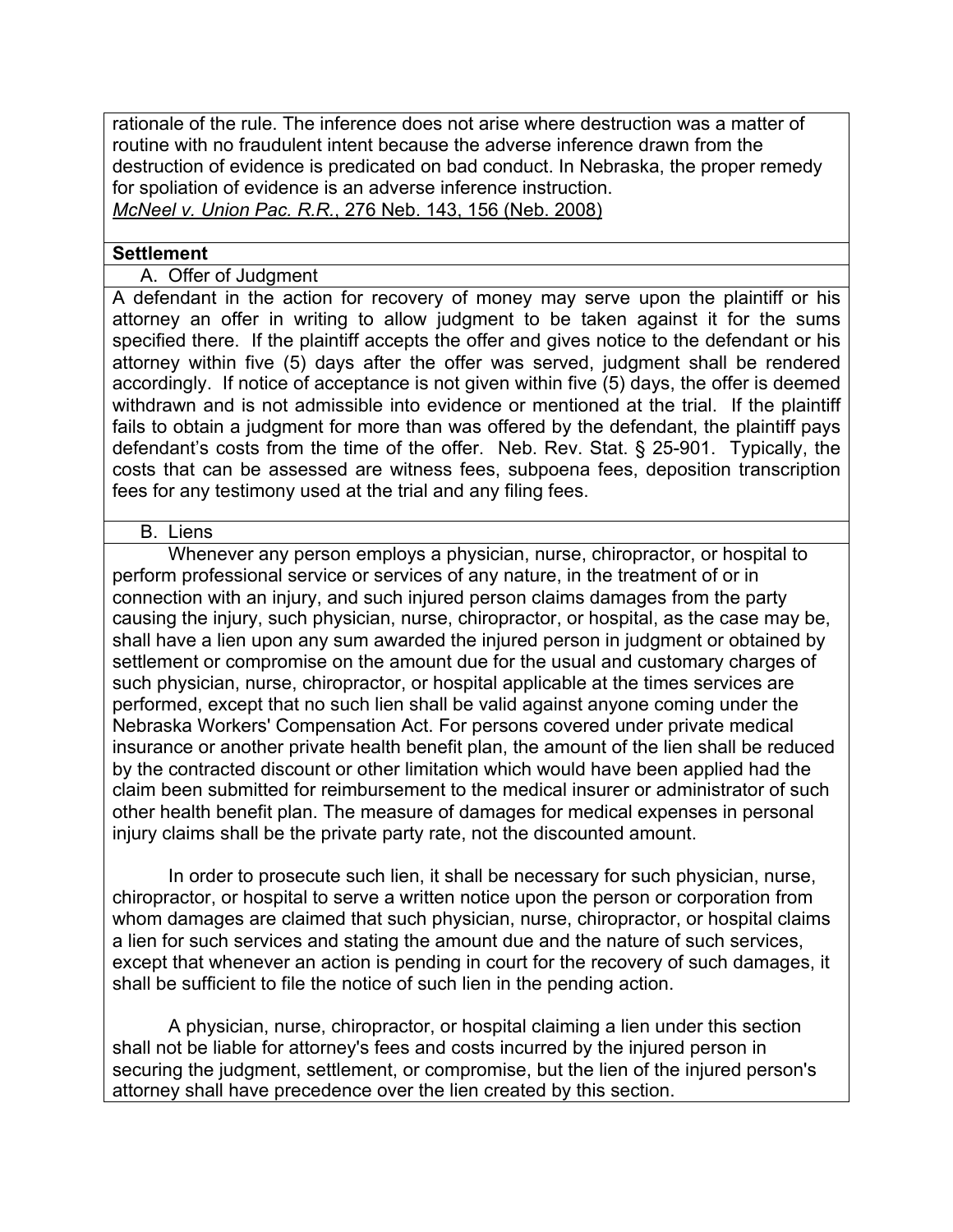rationale of the rule. The inference does not arise where destruction was a matter of routine with no fraudulent intent because the adverse inference drawn from the destruction of evidence is predicated on bad conduct. In Nebraska, the proper remedy for spoliation of evidence is an adverse inference instruction. *McNeel v. Union Pac. R.R.*, 276 Neb. 143, 156 (Neb. 2008)

#### **Settlement**

A. Offer of Judgment

A defendant in the action for recovery of money may serve upon the plaintiff or his attorney an offer in writing to allow judgment to be taken against it for the sums specified there. If the plaintiff accepts the offer and gives notice to the defendant or his attorney within five (5) days after the offer was served, judgment shall be rendered accordingly. If notice of acceptance is not given within five (5) days, the offer is deemed withdrawn and is not admissible into evidence or mentioned at the trial. If the plaintiff fails to obtain a judgment for more than was offered by the defendant, the plaintiff pays defendant's costs from the time of the offer. Neb. Rev. Stat. § 25-901. Typically, the costs that can be assessed are witness fees, subpoena fees, deposition transcription fees for any testimony used at the trial and any filing fees.

#### B. Liens

Whenever any person employs a physician, nurse, chiropractor, or hospital to perform professional service or services of any nature, in the treatment of or in connection with an injury, and such injured person claims damages from the party causing the injury, such physician, nurse, chiropractor, or hospital, as the case may be, shall have a lien upon any sum awarded the injured person in judgment or obtained by settlement or compromise on the amount due for the usual and customary charges of such physician, nurse, chiropractor, or hospital applicable at the times services are performed, except that no such lien shall be valid against anyone coming under the Nebraska Workers' Compensation Act. For persons covered under private medical insurance or another private health benefit plan, the amount of the lien shall be reduced by the contracted discount or other limitation which would have been applied had the claim been submitted for reimbursement to the medical insurer or administrator of such other health benefit plan. The measure of damages for medical expenses in personal injury claims shall be the private party rate, not the discounted amount.

 In order to prosecute such lien, it shall be necessary for such physician, nurse, chiropractor, or hospital to serve a written notice upon the person or corporation from whom damages are claimed that such physician, nurse, chiropractor, or hospital claims a lien for such services and stating the amount due and the nature of such services, except that whenever an action is pending in court for the recovery of such damages, it shall be sufficient to file the notice of such lien in the pending action.

 A physician, nurse, chiropractor, or hospital claiming a lien under this section shall not be liable for attorney's fees and costs incurred by the injured person in securing the judgment, settlement, or compromise, but the lien of the injured person's attorney shall have precedence over the lien created by this section.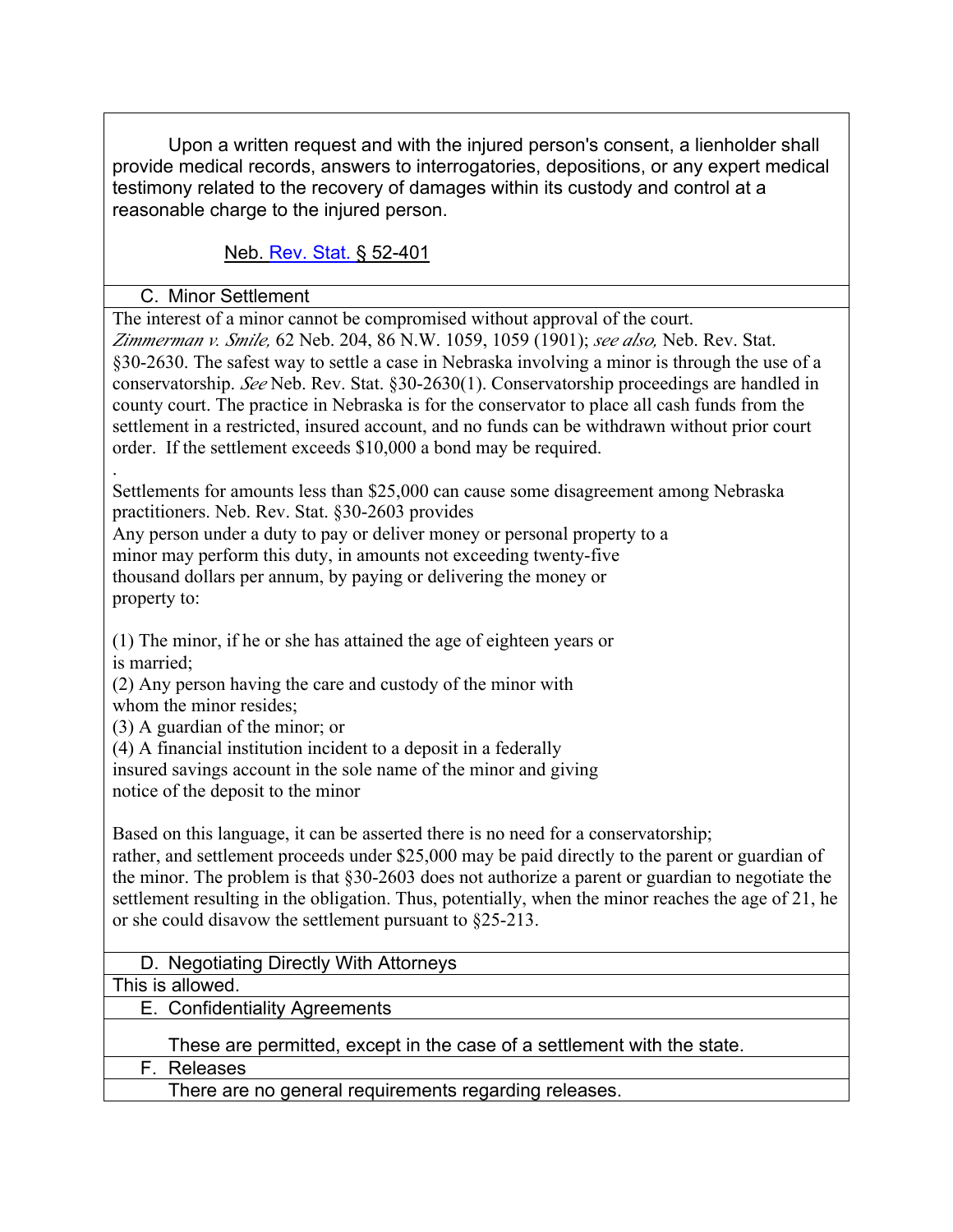Upon a written request and with the injured person's consent, a lienholder shall provide medical records, answers to interrogatories, depositions, or any expert medical testimony related to the recovery of damages within its custody and control at a reasonable charge to the injured person.

Neb. Rev. Stat. § 52-401

C. Minor Settlement

The interest of a minor cannot be compromised without approval of the court. *Zimmerman v. Smile,* 62 Neb. 204, 86 N.W. 1059, 1059 (1901); *see also,* Neb. Rev. Stat. §30-2630. The safest way to settle a case in Nebraska involving a minor is through the use of a conservatorship. *See* Neb. Rev. Stat. §30-2630(1). Conservatorship proceedings are handled in county court. The practice in Nebraska is for the conservator to place all cash funds from the settlement in a restricted, insured account, and no funds can be withdrawn without prior court order. If the settlement exceeds \$10,000 a bond may be required.

. Settlements for amounts less than \$25,000 can cause some disagreement among Nebraska practitioners. Neb. Rev. Stat. §30-2603 provides

Any person under a duty to pay or deliver money or personal property to a minor may perform this duty, in amounts not exceeding twenty-five thousand dollars per annum, by paying or delivering the money or property to:

(1) The minor, if he or she has attained the age of eighteen years or is married;

(2) Any person having the care and custody of the minor with whom the minor resides;

(3) A guardian of the minor; or

(4) A financial institution incident to a deposit in a federally

insured savings account in the sole name of the minor and giving notice of the deposit to the minor

Based on this language, it can be asserted there is no need for a conservatorship;

rather, and settlement proceeds under \$25,000 may be paid directly to the parent or guardian of the minor. The problem is that §30-2603 does not authorize a parent or guardian to negotiate the settlement resulting in the obligation. Thus, potentially, when the minor reaches the age of 21, he or she could disavow the settlement pursuant to §25-213.

## D. Negotiating Directly With Attorneys

This is allowed.

E. Confidentiality Agreements

These are permitted, except in the case of a settlement with the state.

F. Releases

There are no general requirements regarding releases.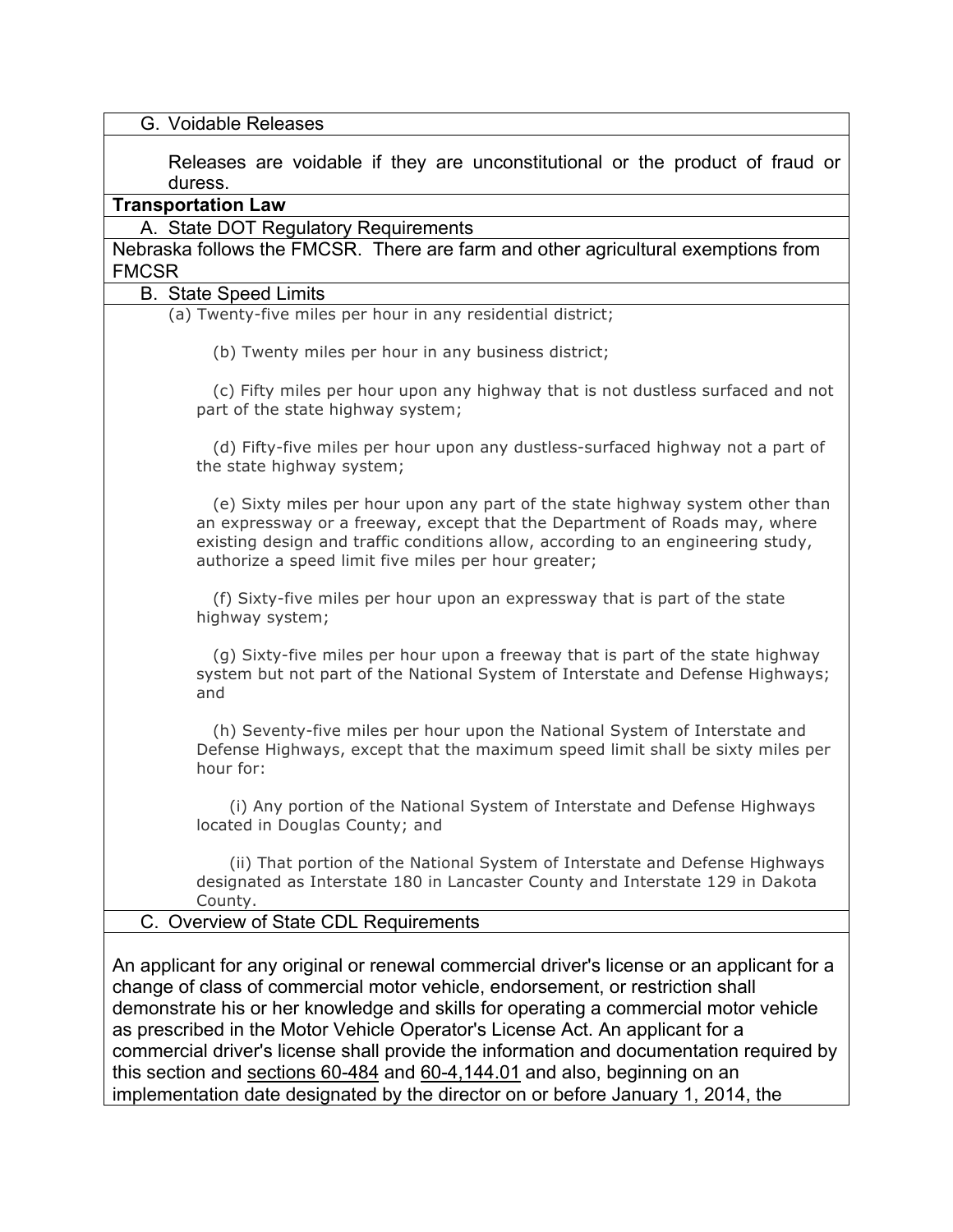| G. Voidable Releases                                                                                                                                                                                                                                                                                                                                                                                                                                                                                                                                                                                               |
|--------------------------------------------------------------------------------------------------------------------------------------------------------------------------------------------------------------------------------------------------------------------------------------------------------------------------------------------------------------------------------------------------------------------------------------------------------------------------------------------------------------------------------------------------------------------------------------------------------------------|
| Releases are voidable if they are unconstitutional or the product of fraud or<br>duress.                                                                                                                                                                                                                                                                                                                                                                                                                                                                                                                           |
| <b>Transportation Law</b>                                                                                                                                                                                                                                                                                                                                                                                                                                                                                                                                                                                          |
| A. State DOT Regulatory Requirements                                                                                                                                                                                                                                                                                                                                                                                                                                                                                                                                                                               |
| Nebraska follows the FMCSR. There are farm and other agricultural exemptions from<br><b>FMCSR</b>                                                                                                                                                                                                                                                                                                                                                                                                                                                                                                                  |
| <b>B.</b> State Speed Limits                                                                                                                                                                                                                                                                                                                                                                                                                                                                                                                                                                                       |
| (a) Twenty-five miles per hour in any residential district;                                                                                                                                                                                                                                                                                                                                                                                                                                                                                                                                                        |
| (b) Twenty miles per hour in any business district;                                                                                                                                                                                                                                                                                                                                                                                                                                                                                                                                                                |
| (c) Fifty miles per hour upon any highway that is not dustless surfaced and not<br>part of the state highway system;                                                                                                                                                                                                                                                                                                                                                                                                                                                                                               |
| (d) Fifty-five miles per hour upon any dustless-surfaced highway not a part of<br>the state highway system;                                                                                                                                                                                                                                                                                                                                                                                                                                                                                                        |
| (e) Sixty miles per hour upon any part of the state highway system other than<br>an expressway or a freeway, except that the Department of Roads may, where<br>existing design and traffic conditions allow, according to an engineering study,<br>authorize a speed limit five miles per hour greater;                                                                                                                                                                                                                                                                                                            |
| (f) Sixty-five miles per hour upon an expressway that is part of the state<br>highway system;                                                                                                                                                                                                                                                                                                                                                                                                                                                                                                                      |
| (g) Sixty-five miles per hour upon a freeway that is part of the state highway<br>system but not part of the National System of Interstate and Defense Highways;<br>and                                                                                                                                                                                                                                                                                                                                                                                                                                            |
| (h) Seventy-five miles per hour upon the National System of Interstate and<br>Defense Highways, except that the maximum speed limit shall be sixty miles per<br>hour for:                                                                                                                                                                                                                                                                                                                                                                                                                                          |
| (i) Any portion of the National System of Interstate and Defense Highways<br>located in Douglas County; and                                                                                                                                                                                                                                                                                                                                                                                                                                                                                                        |
| (ii) That portion of the National System of Interstate and Defense Highways<br>designated as Interstate 180 in Lancaster County and Interstate 129 in Dakota<br>County.                                                                                                                                                                                                                                                                                                                                                                                                                                            |
| C. Overview of State CDL Requirements                                                                                                                                                                                                                                                                                                                                                                                                                                                                                                                                                                              |
| An applicant for any original or renewal commercial driver's license or an applicant for a<br>change of class of commercial motor vehicle, endorsement, or restriction shall<br>demonstrate his or her knowledge and skills for operating a commercial motor vehicle<br>as prescribed in the Motor Vehicle Operator's License Act. An applicant for a<br>commercial driver's license shall provide the information and documentation required by<br>this section and sections 60-484 and 60-4,144.01 and also, beginning on an<br>implementation date designated by the director on or before January 1, 2014, the |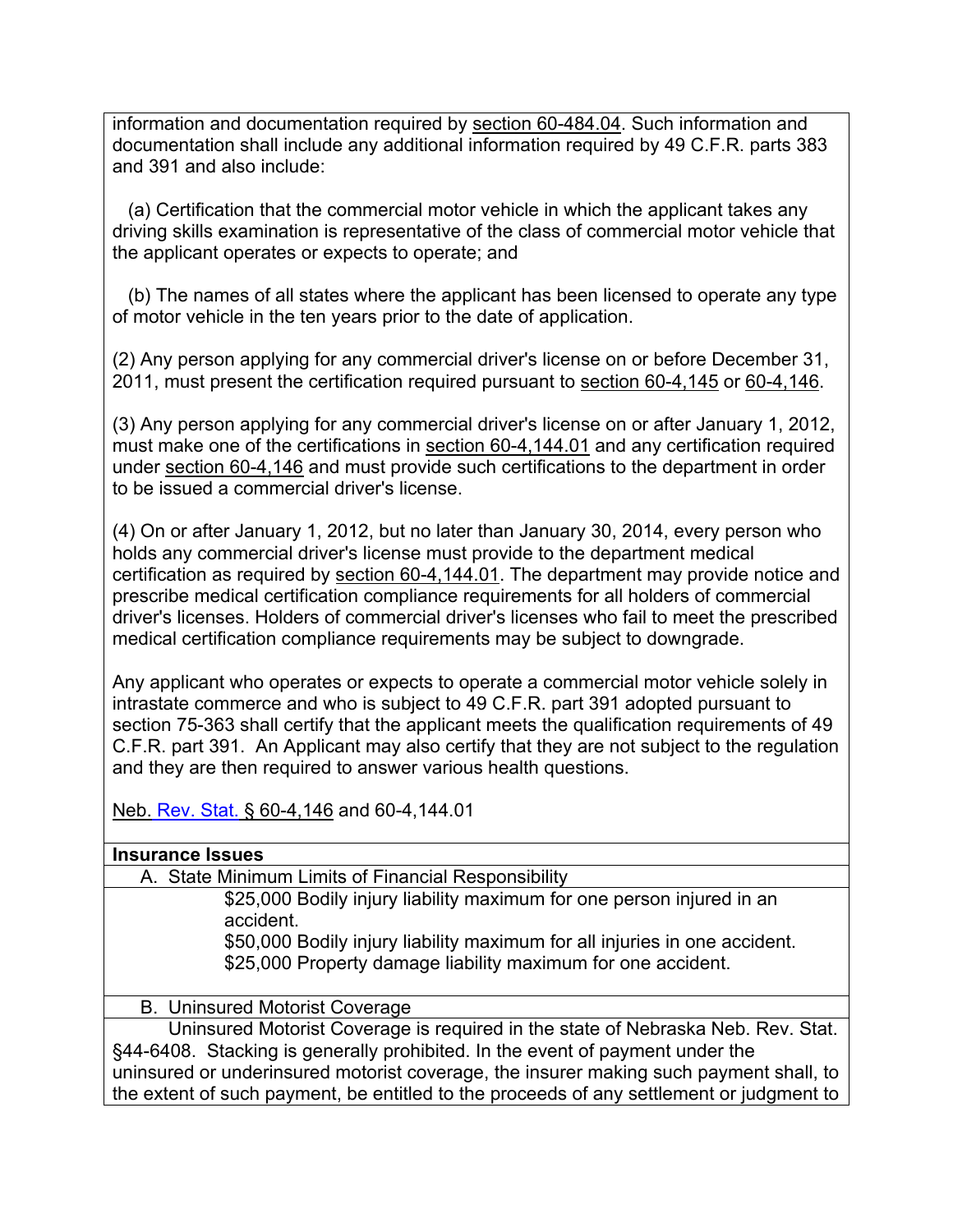information and documentation required by section 60-484.04. Such information and documentation shall include any additional information required by 49 C.F.R. parts 383 and 391 and also include:

 (a) Certification that the commercial motor vehicle in which the applicant takes any driving skills examination is representative of the class of commercial motor vehicle that the applicant operates or expects to operate; and

 (b) The names of all states where the applicant has been licensed to operate any type of motor vehicle in the ten years prior to the date of application.

(2) Any person applying for any commercial driver's license on or before December 31, 2011, must present the certification required pursuant to section 60-4,145 or 60-4,146.

(3) Any person applying for any commercial driver's license on or after January 1, 2012, must make one of the certifications in section 60-4,144.01 and any certification required under section 60-4,146 and must provide such certifications to the department in order to be issued a commercial driver's license.

(4) On or after January 1, 2012, but no later than January 30, 2014, every person who holds any commercial driver's license must provide to the department medical certification as required by section 60-4,144.01. The department may provide notice and prescribe medical certification compliance requirements for all holders of commercial driver's licenses. Holders of commercial driver's licenses who fail to meet the prescribed medical certification compliance requirements may be subject to downgrade.

Any applicant who operates or expects to operate a commercial motor vehicle solely in intrastate commerce and who is subject to 49 C.F.R. part 391 adopted pursuant to section 75-363 shall certify that the applicant meets the qualification requirements of 49 C.F.R. part 391. An Applicant may also certify that they are not subject to the regulation and they are then required to answer various health questions.

Neb. Rev. Stat. § 60-4,146 and 60-4,144.01

#### **Insurance Issues**

A. State Minimum Limits of Financial Responsibility

\$25,000 Bodily injury liability maximum for one person injured in an accident.

\$50,000 Bodily injury liability maximum for all injuries in one accident. \$25,000 Property damage liability maximum for one accident.

#### B. Uninsured Motorist Coverage

Uninsured Motorist Coverage is required in the state of Nebraska Neb. Rev. Stat. §44-6408. Stacking is generally prohibited. In the event of payment under the uninsured or underinsured motorist coverage, the insurer making such payment shall, to the extent of such payment, be entitled to the proceeds of any settlement or judgment to